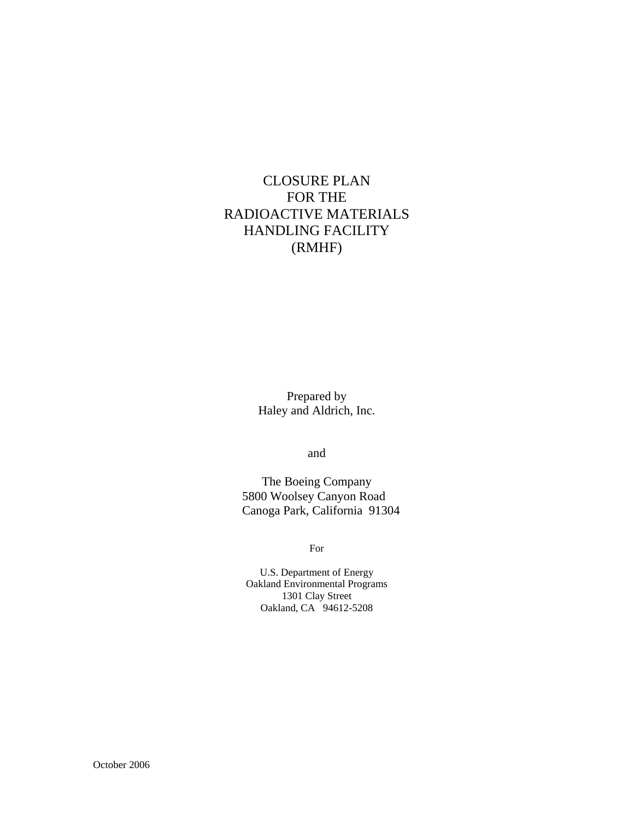# CLOSURE PLAN FOR THE RADIOACTIVE MATERIALS HANDLING FACILITY (RMHF)

Prepared by Haley and Aldrich, Inc.

and

The Boeing Company 5800 Woolsey Canyon Road Canoga Park, California 91304

For

U.S. Department of Energy Oakland Environmental Programs 1301 Clay Street Oakland, CA 94612-5208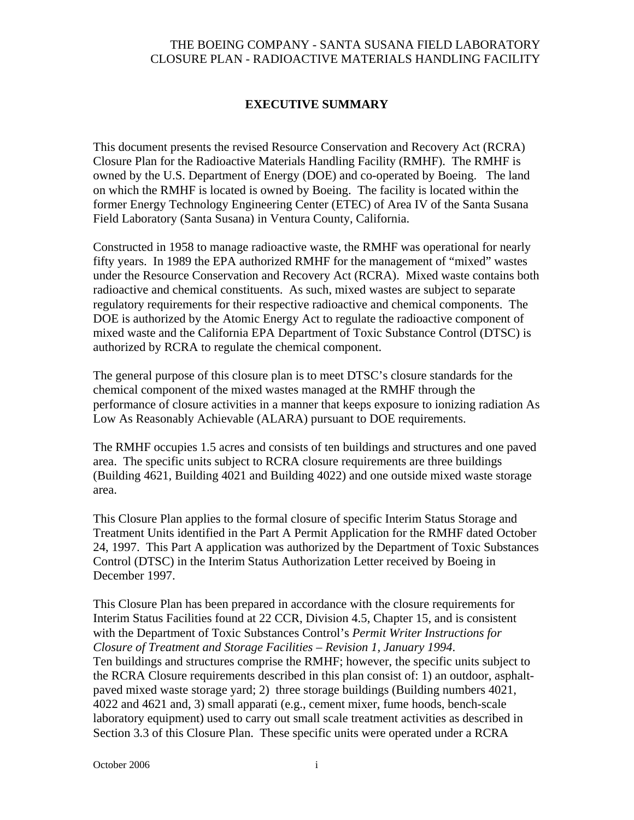#### **EXECUTIVE SUMMARY**

This document presents the revised Resource Conservation and Recovery Act (RCRA) Closure Plan for the Radioactive Materials Handling Facility (RMHF). The RMHF is owned by the U.S. Department of Energy (DOE) and co-operated by Boeing. The land on which the RMHF is located is owned by Boeing. The facility is located within the former Energy Technology Engineering Center (ETEC) of Area IV of the Santa Susana Field Laboratory (Santa Susana) in Ventura County, California.

Constructed in 1958 to manage radioactive waste, the RMHF was operational for nearly fifty years. In 1989 the EPA authorized RMHF for the management of "mixed" wastes under the Resource Conservation and Recovery Act (RCRA). Mixed waste contains both radioactive and chemical constituents. As such, mixed wastes are subject to separate regulatory requirements for their respective radioactive and chemical components. The DOE is authorized by the Atomic Energy Act to regulate the radioactive component of mixed waste and the California EPA Department of Toxic Substance Control (DTSC) is authorized by RCRA to regulate the chemical component.

The general purpose of this closure plan is to meet DTSC's closure standards for the chemical component of the mixed wastes managed at the RMHF through the performance of closure activities in a manner that keeps exposure to ionizing radiation As Low As Reasonably Achievable (ALARA) pursuant to DOE requirements.

The RMHF occupies 1.5 acres and consists of ten buildings and structures and one paved area. The specific units subject to RCRA closure requirements are three buildings (Building 4621, Building 4021 and Building 4022) and one outside mixed waste storage area.

This Closure Plan applies to the formal closure of specific Interim Status Storage and Treatment Units identified in the Part A Permit Application for the RMHF dated October 24, 1997. This Part A application was authorized by the Department of Toxic Substances Control (DTSC) in the Interim Status Authorization Letter received by Boeing in December 1997.

This Closure Plan has been prepared in accordance with the closure requirements for Interim Status Facilities found at 22 CCR, Division 4.5, Chapter 15, and is consistent with the Department of Toxic Substances Control's *Permit Writer Instructions for Closure of Treatment and Storage Facilities – Revision 1, January 1994*. Ten buildings and structures comprise the RMHF; however, the specific units subject to the RCRA Closure requirements described in this plan consist of: 1) an outdoor, asphaltpaved mixed waste storage yard; 2) three storage buildings (Building numbers 4021, 4022 and 4621 and, 3) small apparati (e.g., cement mixer, fume hoods, bench-scale laboratory equipment) used to carry out small scale treatment activities as described in Section 3.3 of this Closure Plan. These specific units were operated under a RCRA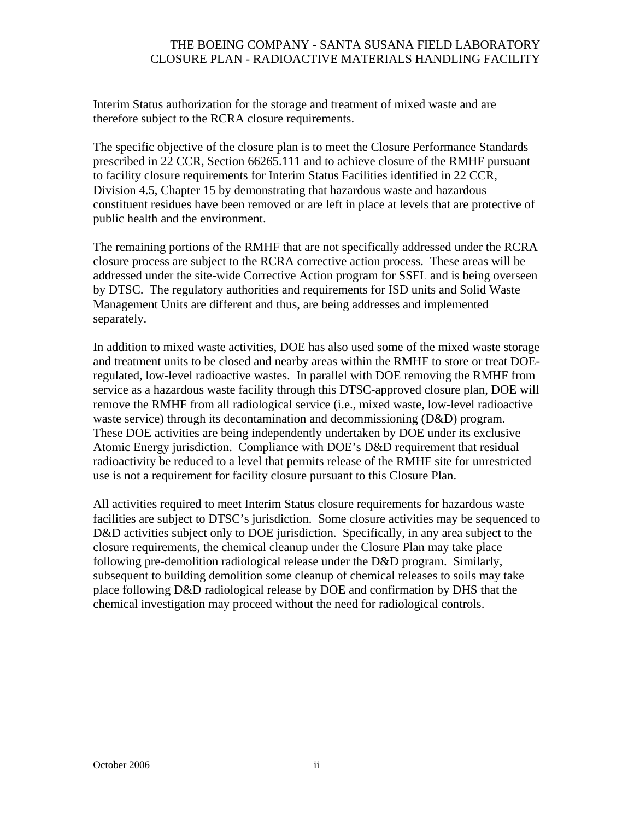Interim Status authorization for the storage and treatment of mixed waste and are therefore subject to the RCRA closure requirements.

The specific objective of the closure plan is to meet the Closure Performance Standards prescribed in 22 CCR, Section 66265.111 and to achieve closure of the RMHF pursuant to facility closure requirements for Interim Status Facilities identified in 22 CCR, Division 4.5, Chapter 15 by demonstrating that hazardous waste and hazardous constituent residues have been removed or are left in place at levels that are protective of public health and the environment.

The remaining portions of the RMHF that are not specifically addressed under the RCRA closure process are subject to the RCRA corrective action process. These areas will be addressed under the site-wide Corrective Action program for SSFL and is being overseen by DTSC. The regulatory authorities and requirements for ISD units and Solid Waste Management Units are different and thus, are being addresses and implemented separately.

In addition to mixed waste activities, DOE has also used some of the mixed waste storage and treatment units to be closed and nearby areas within the RMHF to store or treat DOEregulated, low-level radioactive wastes. In parallel with DOE removing the RMHF from service as a hazardous waste facility through this DTSC-approved closure plan, DOE will remove the RMHF from all radiological service (i.e., mixed waste, low-level radioactive waste service) through its decontamination and decommissioning (D&D) program. These DOE activities are being independently undertaken by DOE under its exclusive Atomic Energy jurisdiction. Compliance with DOE's D&D requirement that residual radioactivity be reduced to a level that permits release of the RMHF site for unrestricted use is not a requirement for facility closure pursuant to this Closure Plan.

All activities required to meet Interim Status closure requirements for hazardous waste facilities are subject to DTSC's jurisdiction. Some closure activities may be sequenced to D&D activities subject only to DOE jurisdiction. Specifically, in any area subject to the closure requirements, the chemical cleanup under the Closure Plan may take place following pre-demolition radiological release under the D&D program. Similarly, subsequent to building demolition some cleanup of chemical releases to soils may take place following D&D radiological release by DOE and confirmation by DHS that the chemical investigation may proceed without the need for radiological controls.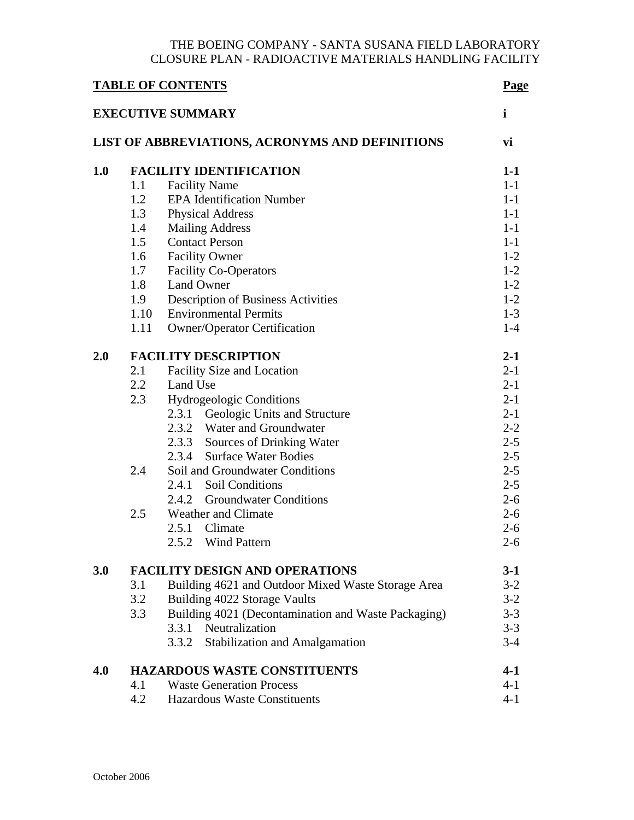| <b>TABLE OF CONTENTS</b><br><b>EXECUTIVE SUMMARY</b> |                                     |                                                     | Page    |  |
|------------------------------------------------------|-------------------------------------|-----------------------------------------------------|---------|--|
|                                                      |                                     |                                                     | i       |  |
| LIST OF ABBREVIATIONS, ACRONYMS AND DEFINITIONS      |                                     |                                                     |         |  |
| 1.0                                                  |                                     | <b>FACILITY IDENTIFICATION</b>                      | $1-1$   |  |
|                                                      | 1.1                                 | <b>Facility Name</b>                                | $1-1$   |  |
|                                                      | 1.2                                 | <b>EPA Identification Number</b>                    | $1-1$   |  |
|                                                      | 1.3                                 | <b>Physical Address</b>                             | $1-1$   |  |
|                                                      | 1.4                                 | <b>Mailing Address</b>                              | $1-1$   |  |
|                                                      | 1.5                                 | <b>Contact Person</b>                               | $1-1$   |  |
|                                                      | 1.6                                 | <b>Facility Owner</b>                               | $1 - 2$ |  |
|                                                      | 1.7                                 | <b>Facility Co-Operators</b>                        | $1-2$   |  |
|                                                      | 1.8                                 | <b>Land Owner</b>                                   | $1 - 2$ |  |
|                                                      | 1.9                                 | <b>Description of Business Activities</b>           | $1-2$   |  |
|                                                      | 1.10                                | <b>Environmental Permits</b>                        | $1 - 3$ |  |
|                                                      | 1.11                                | <b>Owner/Operator Certification</b>                 | $1-4$   |  |
| 2.0                                                  |                                     | <b>FACILITY DESCRIPTION</b>                         |         |  |
|                                                      | 2.1                                 | Facility Size and Location                          | $2 - 1$ |  |
|                                                      | 2.2                                 | Land Use                                            | $2 - 1$ |  |
|                                                      | 2.3                                 | <b>Hydrogeologic Conditions</b>                     | $2 - 1$ |  |
|                                                      |                                     | 2.3.1<br>Geologic Units and Structure               | $2 - 1$ |  |
|                                                      |                                     | 2.3.2 Water and Groundwater                         | $2 - 2$ |  |
|                                                      |                                     | 2.3.3 Sources of Drinking Water                     | $2 - 5$ |  |
|                                                      |                                     | 2.3.4 Surface Water Bodies                          | $2 - 5$ |  |
|                                                      | 2.4                                 | Soil and Groundwater Conditions                     | $2 - 5$ |  |
|                                                      |                                     | 2.4.1 Soil Conditions                               | $2 - 5$ |  |
|                                                      |                                     | 2.4.2 Groundwater Conditions                        | $2 - 6$ |  |
|                                                      | 2.5                                 | Weather and Climate                                 | $2 - 6$ |  |
|                                                      |                                     | 2.5.1 Climate                                       | $2 - 6$ |  |
|                                                      |                                     | 2.5.2 Wind Pattern                                  | $2 - 6$ |  |
| 3.0                                                  |                                     | <b>FACILITY DESIGN AND OPERATIONS</b>               | $3-1$   |  |
|                                                      | 3.1                                 | Building 4621 and Outdoor Mixed Waste Storage Area  | $3 - 2$ |  |
|                                                      | 3.2                                 | Building 4022 Storage Vaults                        | $3 - 2$ |  |
|                                                      | 3.3                                 | Building 4021 (Decontamination and Waste Packaging) | $3 - 3$ |  |
|                                                      |                                     | 3.3.1 Neutralization                                | $3 - 3$ |  |
|                                                      |                                     | Stabilization and Amalgamation<br>3.3.2             | $3-4$   |  |
| 4.0                                                  | <b>HAZARDOUS WASTE CONSTITUENTS</b> |                                                     |         |  |
|                                                      | 4.1                                 | <b>Waste Generation Process</b>                     | $4 - 1$ |  |
|                                                      | 4.2                                 | <b>Hazardous Waste Constituents</b>                 | $4 - 1$ |  |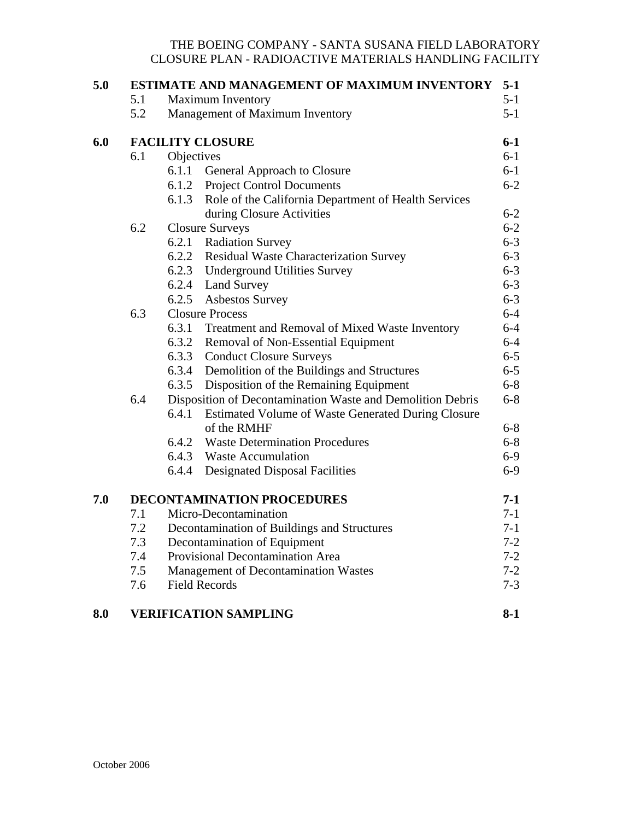| 5.0 | ESTIMATE AND MANAGEMENT OF MAXIMUM INVENTORY |                                                            |                                                            |                |  |  |
|-----|----------------------------------------------|------------------------------------------------------------|------------------------------------------------------------|----------------|--|--|
|     | 5.1                                          |                                                            | <b>Maximum Inventory</b>                                   | $5-1$          |  |  |
|     | 5.2<br>Management of Maximum Inventory       |                                                            |                                                            |                |  |  |
| 6.0 | $6-1$<br><b>FACILITY CLOSURE</b><br>$6-1$    |                                                            |                                                            |                |  |  |
|     | 6.1                                          | Objectives                                                 |                                                            |                |  |  |
|     |                                              | 6.1.1                                                      | General Approach to Closure                                | $6-1$          |  |  |
|     |                                              |                                                            | 6.1.2 Project Control Documents                            | $6 - 2$        |  |  |
|     |                                              |                                                            | 6.1.3 Role of the California Department of Health Services |                |  |  |
|     |                                              |                                                            | during Closure Activities                                  | $6 - 2$        |  |  |
|     |                                              | 6.2<br><b>Closure Surveys</b>                              |                                                            | $6 - 2$        |  |  |
|     |                                              | 6.2.1                                                      | <b>Radiation Survey</b>                                    | $6 - 3$        |  |  |
|     |                                              |                                                            | 6.2.2 Residual Waste Characterization Survey               | $6 - 3$        |  |  |
|     |                                              |                                                            | 6.2.3 Underground Utilities Survey                         | $6 - 3$        |  |  |
|     |                                              |                                                            | 6.2.4 Land Survey                                          | $6 - 3$        |  |  |
|     |                                              | 6.2.5                                                      | <b>Asbestos Survey</b>                                     | $6 - 3$        |  |  |
|     | 6.3<br><b>Closure Process</b>                |                                                            |                                                            | $6-4$          |  |  |
|     |                                              | 6.3.1                                                      | Treatment and Removal of Mixed Waste Inventory             | $6-4$          |  |  |
|     |                                              | 6.3.2                                                      | Removal of Non-Essential Equipment                         | $6-4$          |  |  |
|     |                                              | 6.3.3                                                      | <b>Conduct Closure Surveys</b>                             | $6-5$          |  |  |
|     |                                              | 6.3.4                                                      | Demolition of the Buildings and Structures                 | $6-5$          |  |  |
|     |                                              | 6.3.5                                                      | Disposition of the Remaining Equipment                     | $6 - 8$        |  |  |
|     | 6.4                                          | Disposition of Decontamination Waste and Demolition Debris |                                                            | $6 - 8$        |  |  |
|     |                                              | 6.4.1                                                      | Estimated Volume of Waste Generated During Closure         |                |  |  |
|     |                                              |                                                            | of the RMHF                                                | $6 - 8$        |  |  |
|     |                                              | 6.4.2                                                      | <b>Waste Determination Procedures</b>                      | $6 - 8$        |  |  |
|     |                                              |                                                            | 6.4.3 Waste Accumulation                                   | $6-9$          |  |  |
|     |                                              | 6.4.4                                                      | <b>Designated Disposal Facilities</b>                      | $6-9$          |  |  |
| 7.0 | <b>DECONTAMINATION PROCEDURES</b>            |                                                            |                                                            |                |  |  |
|     | 7.1                                          |                                                            | Micro-Decontamination                                      | $7-1$<br>$7-1$ |  |  |
|     | 7.2                                          | Decontamination of Buildings and Structures                |                                                            |                |  |  |
|     | 7.3                                          | Decontamination of Equipment                               |                                                            |                |  |  |
|     | 7.4                                          | Provisional Decontamination Area                           |                                                            |                |  |  |
|     | 7.5                                          | Management of Decontamination Wastes<br>$7 - 2$            |                                                            |                |  |  |
|     | 7.6                                          | <b>Field Records</b>                                       |                                                            |                |  |  |
| 8.0 |                                              | <b>VERIFICATION SAMPLING</b>                               |                                                            | $8-1$          |  |  |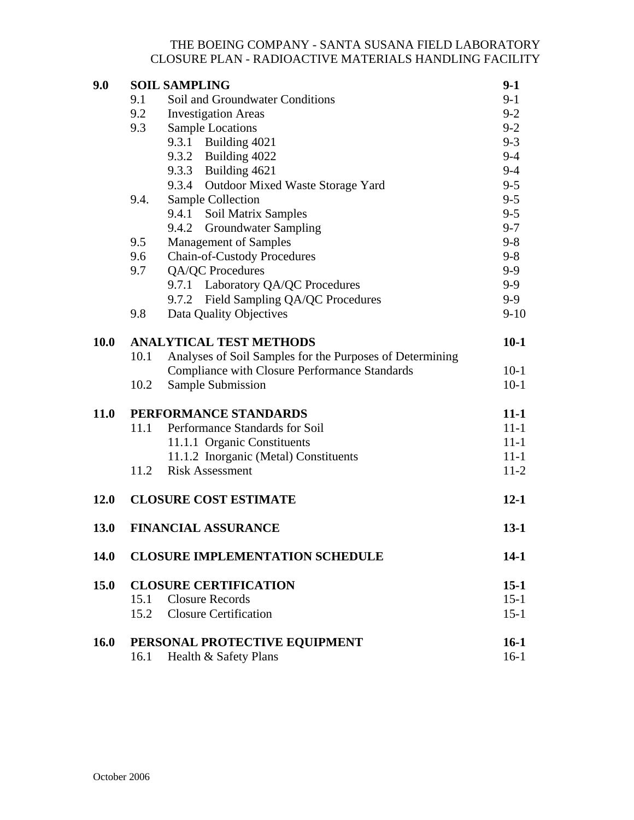| 9.0         |                                        | <b>SOIL SAMPLING</b>                                     | $9-1$    |  |
|-------------|----------------------------------------|----------------------------------------------------------|----------|--|
|             | Soil and Groundwater Conditions<br>9.1 |                                                          |          |  |
|             | 9.2                                    | <b>Investigation Areas</b>                               |          |  |
|             | 9.3                                    | <b>Sample Locations</b>                                  |          |  |
|             |                                        | 9.3.1 Building 4021                                      | $9 - 3$  |  |
|             |                                        | 9.3.2 Building 4022                                      | $9 - 4$  |  |
|             |                                        | 9.3.3 Building 4621                                      | $9 - 4$  |  |
|             |                                        | 9.3.4 Outdoor Mixed Waste Storage Yard                   | $9 - 5$  |  |
|             | 9.4.                                   | Sample Collection                                        |          |  |
|             |                                        | 9.4.1 Soil Matrix Samples                                | $9 - 5$  |  |
|             |                                        | 9.4.2 Groundwater Sampling                               | $9 - 7$  |  |
|             |                                        | <b>Management of Samples</b><br>9.5                      |          |  |
|             | 9.6                                    | <b>Chain-of-Custody Procedures</b>                       |          |  |
|             | 9.7                                    | QA/QC Procedures                                         | $9 - 9$  |  |
|             |                                        | 9.7.1 Laboratory QA/QC Procedures                        | $9-9$    |  |
|             |                                        | 9.7.2 Field Sampling QA/QC Procedures                    | $9-9$    |  |
|             | 9.8                                    | Data Quality Objectives                                  | $9-10$   |  |
| <b>10.0</b> | <b>ANALYTICAL TEST METHODS</b>         |                                                          |          |  |
|             | 10.1                                   | Analyses of Soil Samples for the Purposes of Determining |          |  |
|             |                                        | <b>Compliance with Closure Performance Standards</b>     | $10-1$   |  |
|             | 10.2                                   | Sample Submission                                        | $10-1$   |  |
| 11.0        | PERFORMANCE STANDARDS                  |                                                          | $11-1$   |  |
|             | 11.1                                   | Performance Standards for Soil                           | $11 - 1$ |  |
|             |                                        | 11.1.1 Organic Constituents                              | $11 - 1$ |  |
|             |                                        | 11.1.2 Inorganic (Metal) Constituents                    | $11 - 1$ |  |
|             | 11.2                                   | <b>Risk Assessment</b>                                   | $11-2$   |  |
| 12.0        | <b>CLOSURE COST ESTIMATE</b>           |                                                          | $12 - 1$ |  |
| 13.0        |                                        | <b>FINANCIAL ASSURANCE</b>                               |          |  |
| 14.0        |                                        | <b>CLOSURE IMPLEMENTATION SCHEDULE</b>                   |          |  |
| 15.0        | <b>CLOSURE CERTIFICATION</b>           |                                                          |          |  |
|             | 15.1                                   | <b>Closure Records</b>                                   | $15-1$   |  |
|             | 15.2                                   | <b>Closure Certification</b>                             | $15 - 1$ |  |
| <b>16.0</b> |                                        | PERSONAL PROTECTIVE EQUIPMENT                            | $16-1$   |  |
|             | 16.1                                   | Health & Safety Plans                                    | $16-1$   |  |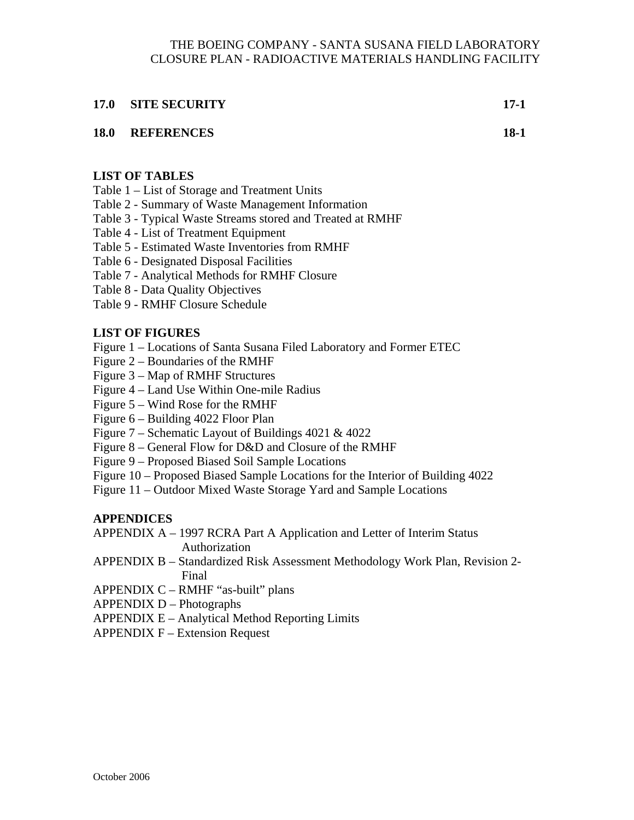#### **17.0 SITE SECURITY 17-1**

### **18.0 REFERENCES 18-1**

### **LIST OF TABLES**

Table 1 – List of Storage and Treatment Units

- Table 2 Summary of Waste Management Information
- Table 3 Typical Waste Streams stored and Treated at RMHF
- Table 4 List of Treatment Equipment
- Table 5 Estimated Waste Inventories from RMHF
- Table 6 Designated Disposal Facilities
- Table 7 Analytical Methods for RMHF Closure
- Table 8 Data Quality Objectives
- Table 9 RMHF Closure Schedule

### **LIST OF FIGURES**

- Figure 1 Locations of Santa Susana Filed Laboratory and Former ETEC
- Figure 2 Boundaries of the RMHF
- Figure 3 Map of RMHF Structures
- Figure 4 Land Use Within One-mile Radius
- Figure 5 Wind Rose for the RMHF
- Figure 6 Building 4022 Floor Plan
- Figure 7 Schematic Layout of Buildings 4021 & 4022
- Figure 8 General Flow for D&D and Closure of the RMHF
- Figure 9 Proposed Biased Soil Sample Locations
- Figure 10 Proposed Biased Sample Locations for the Interior of Building 4022
- Figure 11 Outdoor Mixed Waste Storage Yard and Sample Locations

## **APPENDICES**

APPENDIX A – 1997 RCRA Part A Application and Letter of Interim Status

Authorization

- APPENDIX B Standardized Risk Assessment Methodology Work Plan, Revision 2- Final
- APPENDIX C RMHF "as-built" plans
- APPENDIX D Photographs
- APPENDIX E Analytical Method Reporting Limits
- APPENDIX F Extension Request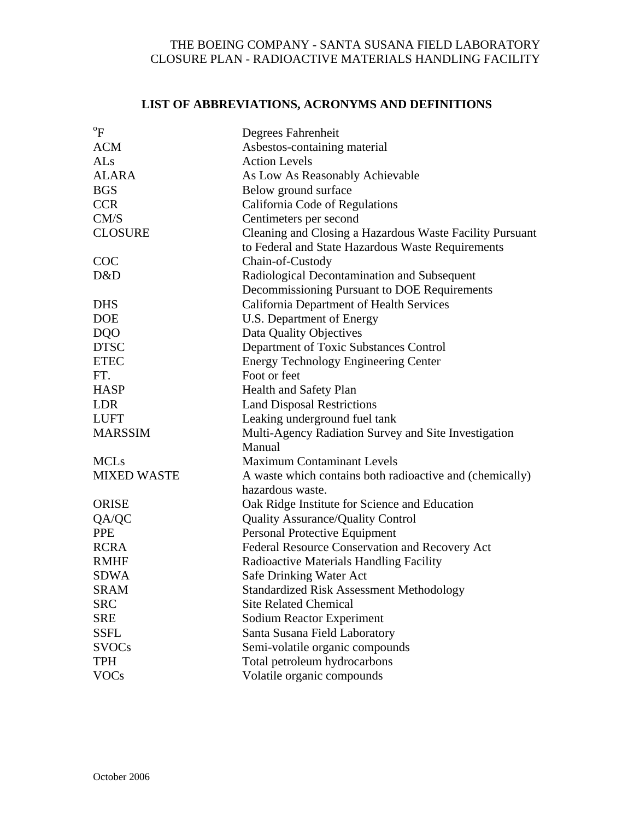# **LIST OF ABBREVIATIONS, ACRONYMS AND DEFINITIONS**

| $\mathrm{P}_{\mathrm{F}}$ |                                                          |
|---------------------------|----------------------------------------------------------|
|                           | Degrees Fahrenheit                                       |
| <b>ACM</b>                | Asbestos-containing material                             |
| ALs                       | <b>Action Levels</b>                                     |
| <b>ALARA</b>              | As Low As Reasonably Achievable                          |
| <b>BGS</b>                | Below ground surface                                     |
| <b>CCR</b>                | California Code of Regulations                           |
| CM/S                      | Centimeters per second                                   |
| <b>CLOSURE</b>            | Cleaning and Closing a Hazardous Waste Facility Pursuant |
|                           | to Federal and State Hazardous Waste Requirements        |
| <b>COC</b>                | Chain-of-Custody                                         |
| D&D                       | Radiological Decontamination and Subsequent              |
|                           | Decommissioning Pursuant to DOE Requirements             |
| <b>DHS</b>                | California Department of Health Services                 |
| <b>DOE</b>                | U.S. Department of Energy                                |
| <b>DQO</b>                | Data Quality Objectives                                  |
| <b>DTSC</b>               | Department of Toxic Substances Control                   |
| <b>ETEC</b>               | <b>Energy Technology Engineering Center</b>              |
| FT.                       | Foot or feet                                             |
| <b>HASP</b>               | Health and Safety Plan                                   |
| <b>LDR</b>                | <b>Land Disposal Restrictions</b>                        |
| <b>LUFT</b>               | Leaking underground fuel tank                            |
| <b>MARSSIM</b>            | Multi-Agency Radiation Survey and Site Investigation     |
|                           | Manual                                                   |
| <b>MCLs</b>               | <b>Maximum Contaminant Levels</b>                        |
| <b>MIXED WASTE</b>        | A waste which contains both radioactive and (chemically) |
|                           | hazardous waste.                                         |
| <b>ORISE</b>              | Oak Ridge Institute for Science and Education            |
| QA/QC                     | <b>Quality Assurance/Quality Control</b>                 |
| <b>PPE</b>                | Personal Protective Equipment                            |
| <b>RCRA</b>               | Federal Resource Conservation and Recovery Act           |
| <b>RMHF</b>               | Radioactive Materials Handling Facility                  |
| <b>SDWA</b>               | Safe Drinking Water Act                                  |
| SRAM                      | Standardized Risk Assessment Methodology                 |
| <b>SRC</b>                | <b>Site Related Chemical</b>                             |
| <b>SRE</b>                | <b>Sodium Reactor Experiment</b>                         |
| <b>SSFL</b>               | Santa Susana Field Laboratory                            |
| <b>SVOCs</b>              | Semi-volatile organic compounds                          |
| <b>TPH</b>                | Total petroleum hydrocarbons                             |
| <b>VOCs</b>               | Volatile organic compounds                               |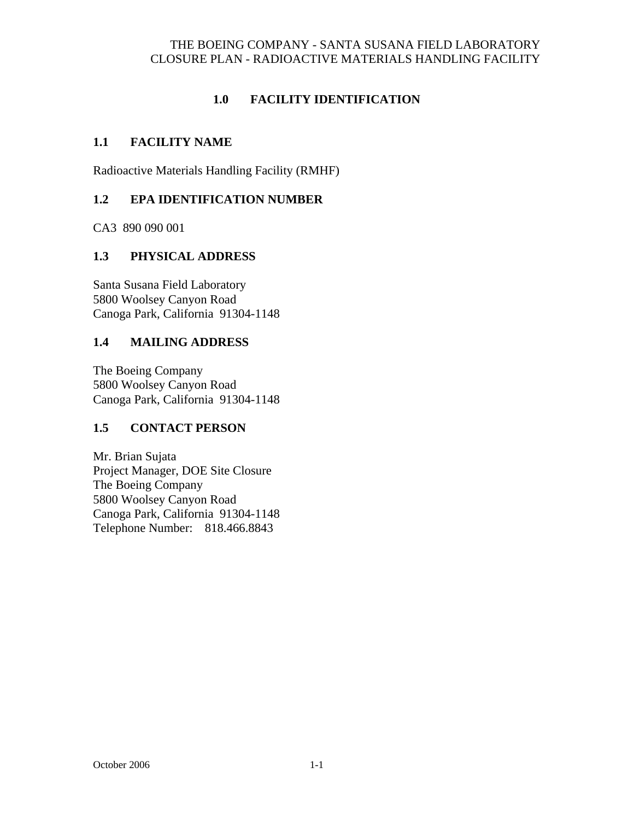## **1.0 FACILITY IDENTIFICATION**

### **1.1 FACILITY NAME**

Radioactive Materials Handling Facility (RMHF)

## **1.2 EPA IDENTIFICATION NUMBER**

CA3 890 090 001

### **1.3 PHYSICAL ADDRESS**

 Santa Susana Field Laboratory 5800 Woolsey Canyon Road Canoga Park, California 91304-1148

### **1.4 MAILING ADDRESS**

 The Boeing Company 5800 Woolsey Canyon Road Canoga Park, California 91304-1148

## **1.5 CONTACT PERSON**

 Mr. Brian Sujata Project Manager, DOE Site Closure The Boeing Company 5800 Woolsey Canyon Road Canoga Park, California 91304-1148 Telephone Number: 818.466.8843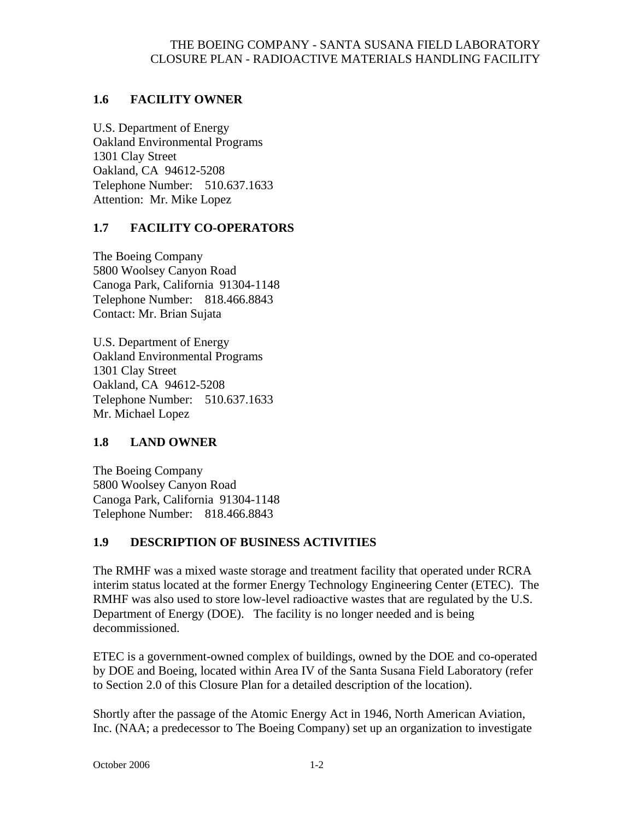### **1.6 FACILITY OWNER**

 U.S. Department of Energy Oakland Environmental Programs 1301 Clay Street Oakland, CA 94612-5208 Telephone Number: 510.637.1633 Attention: Mr. Mike Lopez

### **1.7 FACILITY CO-OPERATORS**

The Boeing Company 5800 Woolsey Canyon Road Canoga Park, California 91304-1148 Telephone Number: 818.466.8843 Contact: Mr. Brian Sujata

 U.S. Department of Energy Oakland Environmental Programs 1301 Clay Street Oakland, CA 94612-5208 Telephone Number: 510.637.1633 Mr. Michael Lopez

### **1.8 LAND OWNER**

The Boeing Company 5800 Woolsey Canyon Road Canoga Park, California 91304-1148 Telephone Number: 818.466.8843

## **1.9 DESCRIPTION OF BUSINESS ACTIVITIES**

The RMHF was a mixed waste storage and treatment facility that operated under RCRA interim status located at the former Energy Technology Engineering Center (ETEC). The RMHF was also used to store low-level radioactive wastes that are regulated by the U.S. Department of Energy (DOE). The facility is no longer needed and is being decommissioned.

ETEC is a government-owned complex of buildings, owned by the DOE and co-operated by DOE and Boeing, located within Area IV of the Santa Susana Field Laboratory (refer to Section 2.0 of this Closure Plan for a detailed description of the location).

Shortly after the passage of the Atomic Energy Act in 1946, North American Aviation, Inc. (NAA; a predecessor to The Boeing Company) set up an organization to investigate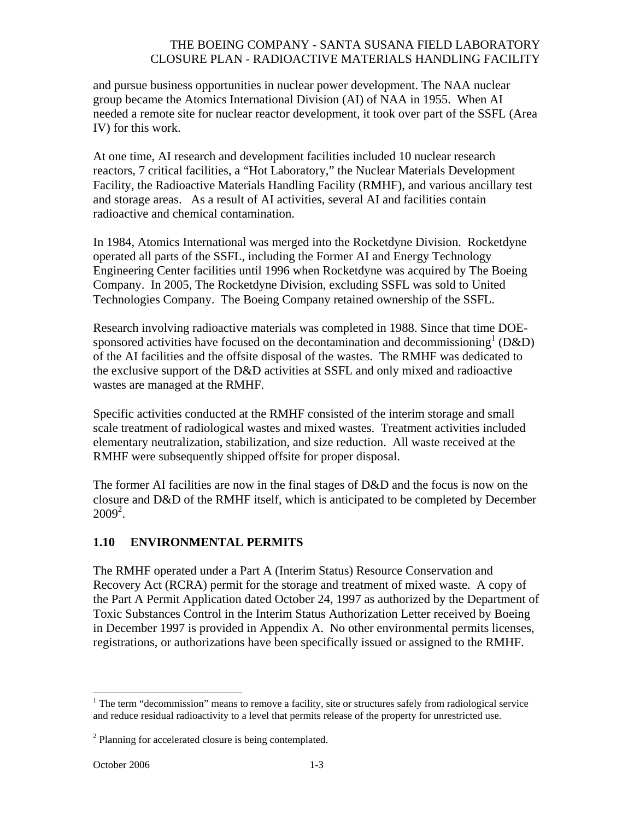and pursue business opportunities in nuclear power development. The NAA nuclear group became the Atomics International Division (AI) of NAA in 1955. When AI needed a remote site for nuclear reactor development, it took over part of the SSFL (Area IV) for this work.

At one time, AI research and development facilities included 10 nuclear research reactors, 7 critical facilities, a "Hot Laboratory," the Nuclear Materials Development Facility, the Radioactive Materials Handling Facility (RMHF), and various ancillary test and storage areas. As a result of AI activities, several AI and facilities contain radioactive and chemical contamination.

In 1984, Atomics International was merged into the Rocketdyne Division. Rocketdyne operated all parts of the SSFL, including the Former AI and Energy Technology Engineering Center facilities until 1996 when Rocketdyne was acquired by The Boeing Company. In 2005, The Rocketdyne Division, excluding SSFL was sold to United Technologies Company. The Boeing Company retained ownership of the SSFL.

Research involving radioactive materials was completed in 1988. Since that time DOEsponsored activities have focused on the decontamination and decommissioning  $( D&D)$ of the AI facilities and the offsite disposal of the wastes. The RMHF was dedicated to the exclusive support of the D&D activities at SSFL and only mixed and radioactive wastes are managed at the RMHF.

Specific activities conducted at the RMHF consisted of the interim storage and small scale treatment of radiological wastes and mixed wastes. Treatment activities included elementary neutralization, stabilization, and size reduction. All waste received at the RMHF were subsequently shipped offsite for proper disposal.

The former AI facilities are now in the final stages of D&D and the focus is now on the closure and D&D of the RMHF itself, which is anticipated to be completed by December  $2009^2$ .

### **1.10 ENVIRONMENTAL PERMITS**

 The RMHF operated under a Part A (Interim Status) Resource Conservation and Recovery Act (RCRA) permit for the storage and treatment of mixed waste. A copy of the Part A Permit Application dated October 24, 1997 as authorized by the Department of Toxic Substances Control in the Interim Status Authorization Letter received by Boeing in December 1997 is provided in Appendix A. No other environmental permits licenses, registrations, or authorizations have been specifically issued or assigned to the RMHF.

 $\overline{a}$ 

 $1$  The term "decommission" means to remove a facility, site or structures safely from radiological service and reduce residual radioactivity to a level that permits release of the property for unrestricted use.

 $2$  Planning for accelerated closure is being contemplated.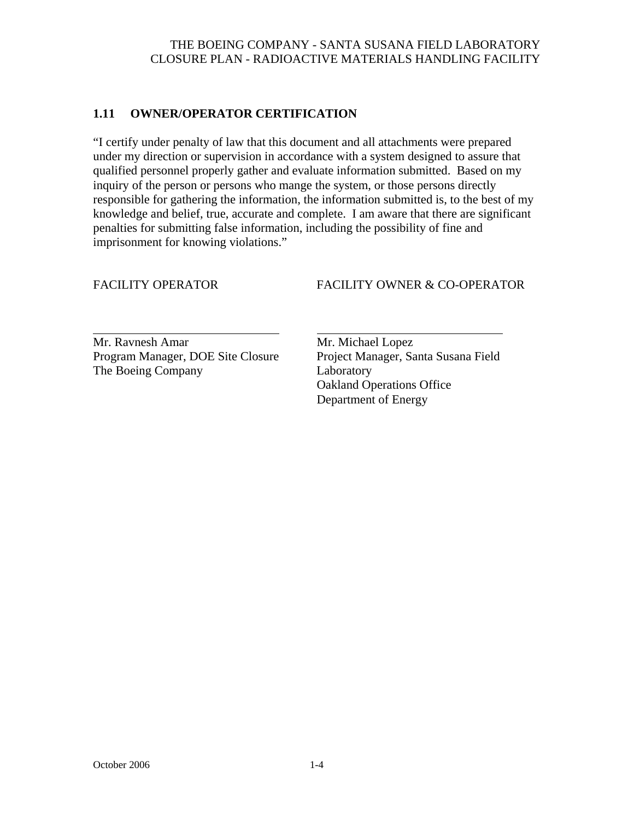### **1.11 OWNER/OPERATOR CERTIFICATION**

"I certify under penalty of law that this document and all attachments were prepared under my direction or supervision in accordance with a system designed to assure that qualified personnel properly gather and evaluate information submitted. Based on my inquiry of the person or persons who mange the system, or those persons directly responsible for gathering the information, the information submitted is, to the best of my knowledge and belief, true, accurate and complete. I am aware that there are significant penalties for submitting false information, including the possibility of fine and imprisonment for knowing violations."

l

### FACILITY OPERATOR FACILITY OWNER & CO-OPERATOR

Mr. Ravnesh Amar Mr. Michael Lopez Program Manager, DOE Site Closure Project Manager, Santa Susana Field The Boeing Company Laboratory

 Oakland Operations Office Department of Energy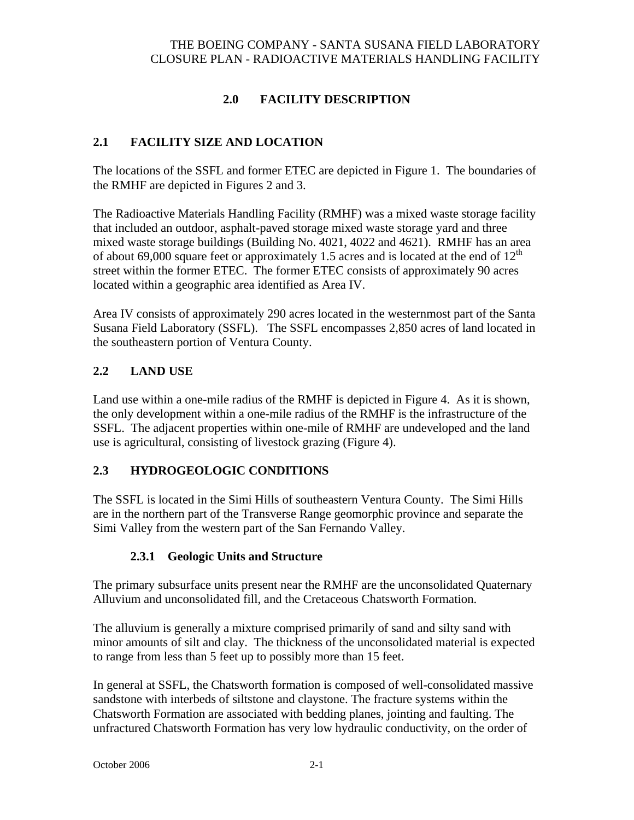# **2.0 FACILITY DESCRIPTION**

## **2.1 FACILITY SIZE AND LOCATION**

The locations of the SSFL and former ETEC are depicted in Figure 1. The boundaries of the RMHF are depicted in Figures 2 and 3.

The Radioactive Materials Handling Facility (RMHF) was a mixed waste storage facility that included an outdoor, asphalt-paved storage mixed waste storage yard and three mixed waste storage buildings (Building No. 4021, 4022 and 4621). RMHF has an area of about 69,000 square feet or approximately 1.5 acres and is located at the end of  $12<sup>th</sup>$ street within the former ETEC. The former ETEC consists of approximately 90 acres located within a geographic area identified as Area IV.

Area IV consists of approximately 290 acres located in the westernmost part of the Santa Susana Field Laboratory (SSFL). The SSFL encompasses 2,850 acres of land located in the southeastern portion of Ventura County.

### **2.2 LAND USE**

Land use within a one-mile radius of the RMHF is depicted in Figure 4. As it is shown, the only development within a one-mile radius of the RMHF is the infrastructure of the SSFL. The adjacent properties within one-mile of RMHF are undeveloped and the land use is agricultural, consisting of livestock grazing (Figure 4).

### **2.3 HYDROGEOLOGIC CONDITIONS**

The SSFL is located in the Simi Hills of southeastern Ventura County. The Simi Hills are in the northern part of the Transverse Range geomorphic province and separate the Simi Valley from the western part of the San Fernando Valley.

### **2.3.1 Geologic Units and Structure**

The primary subsurface units present near the RMHF are the unconsolidated Quaternary Alluvium and unconsolidated fill, and the Cretaceous Chatsworth Formation.

The alluvium is generally a mixture comprised primarily of sand and silty sand with minor amounts of silt and clay. The thickness of the unconsolidated material is expected to range from less than 5 feet up to possibly more than 15 feet.

In general at SSFL, the Chatsworth formation is composed of well-consolidated massive sandstone with interbeds of siltstone and claystone. The fracture systems within the Chatsworth Formation are associated with bedding planes, jointing and faulting. The unfractured Chatsworth Formation has very low hydraulic conductivity, on the order of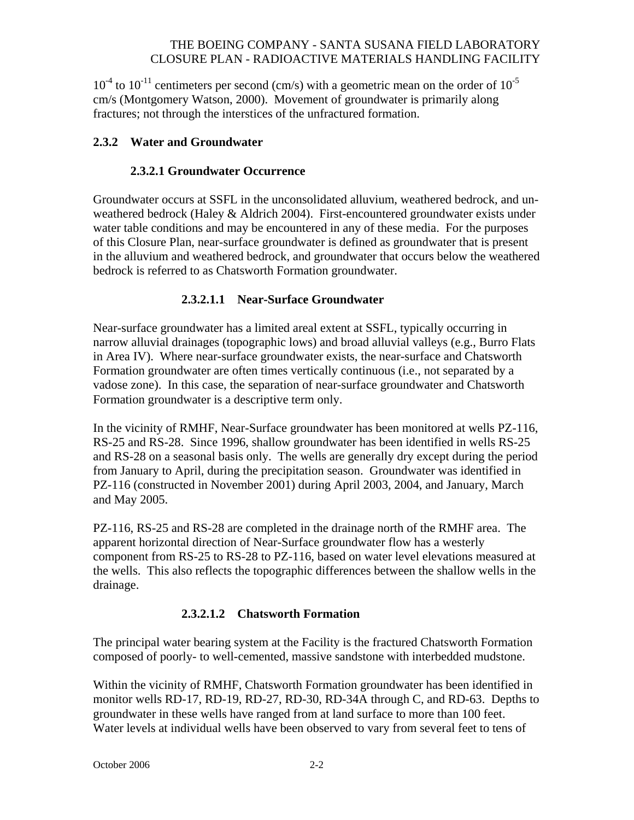$10^{-4}$  to  $10^{-11}$  centimeters per second (cm/s) with a geometric mean on the order of  $10^{-5}$ cm/s (Montgomery Watson, 2000). Movement of groundwater is primarily along fractures; not through the interstices of the unfractured formation.

### **2.3.2 Water and Groundwater**

### **2.3.2.1 Groundwater Occurrence**

Groundwater occurs at SSFL in the unconsolidated alluvium, weathered bedrock, and unweathered bedrock (Haley & Aldrich 2004). First-encountered groundwater exists under water table conditions and may be encountered in any of these media. For the purposes of this Closure Plan, near-surface groundwater is defined as groundwater that is present in the alluvium and weathered bedrock, and groundwater that occurs below the weathered bedrock is referred to as Chatsworth Formation groundwater.

### **2.3.2.1.1 Near-Surface Groundwater**

Near-surface groundwater has a limited areal extent at SSFL, typically occurring in narrow alluvial drainages (topographic lows) and broad alluvial valleys (e.g., Burro Flats in Area IV). Where near-surface groundwater exists, the near-surface and Chatsworth Formation groundwater are often times vertically continuous (i.e., not separated by a vadose zone). In this case, the separation of near-surface groundwater and Chatsworth Formation groundwater is a descriptive term only.

In the vicinity of RMHF, Near-Surface groundwater has been monitored at wells PZ-116, RS-25 and RS-28. Since 1996, shallow groundwater has been identified in wells RS-25 and RS-28 on a seasonal basis only. The wells are generally dry except during the period from January to April, during the precipitation season. Groundwater was identified in PZ-116 (constructed in November 2001) during April 2003, 2004, and January, March and May 2005.

PZ-116, RS-25 and RS-28 are completed in the drainage north of the RMHF area. The apparent horizontal direction of Near-Surface groundwater flow has a westerly component from RS-25 to RS-28 to PZ-116, based on water level elevations measured at the wells. This also reflects the topographic differences between the shallow wells in the drainage.

## **2.3.2.1.2 Chatsworth Formation**

The principal water bearing system at the Facility is the fractured Chatsworth Formation composed of poorly- to well-cemented, massive sandstone with interbedded mudstone.

Within the vicinity of RMHF, Chatsworth Formation groundwater has been identified in monitor wells RD-17, RD-19, RD-27, RD-30, RD-34A through C, and RD-63. Depths to groundwater in these wells have ranged from at land surface to more than 100 feet. Water levels at individual wells have been observed to vary from several feet to tens of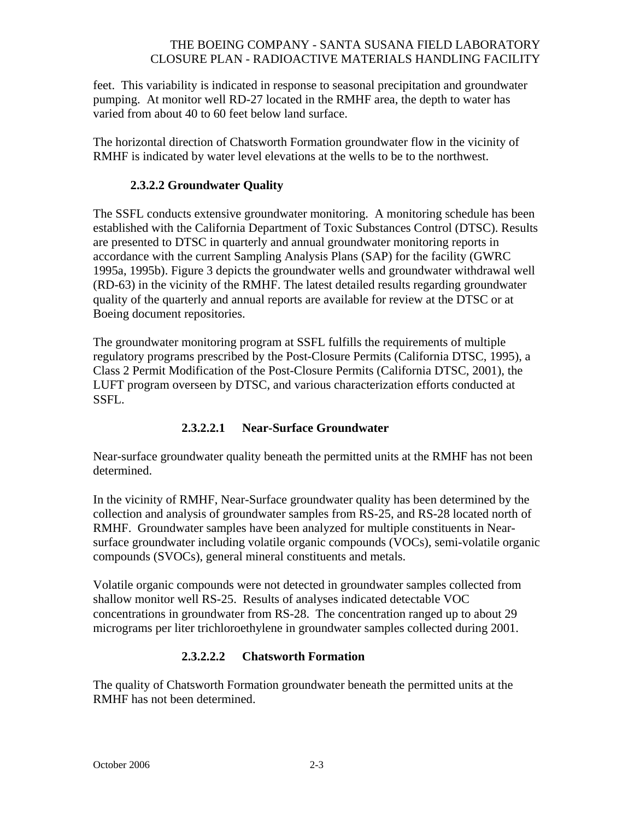feet. This variability is indicated in response to seasonal precipitation and groundwater pumping. At monitor well RD-27 located in the RMHF area, the depth to water has varied from about 40 to 60 feet below land surface.

The horizontal direction of Chatsworth Formation groundwater flow in the vicinity of RMHF is indicated by water level elevations at the wells to be to the northwest.

### **2.3.2.2 Groundwater Quality**

The SSFL conducts extensive groundwater monitoring. A monitoring schedule has been established with the California Department of Toxic Substances Control (DTSC). Results are presented to DTSC in quarterly and annual groundwater monitoring reports in accordance with the current Sampling Analysis Plans (SAP) for the facility (GWRC 1995a, 1995b). Figure 3 depicts the groundwater wells and groundwater withdrawal well (RD-63) in the vicinity of the RMHF. The latest detailed results regarding groundwater quality of the quarterly and annual reports are available for review at the DTSC or at Boeing document repositories.

The groundwater monitoring program at SSFL fulfills the requirements of multiple regulatory programs prescribed by the Post-Closure Permits (California DTSC, 1995), a Class 2 Permit Modification of the Post-Closure Permits (California DTSC, 2001), the LUFT program overseen by DTSC, and various characterization efforts conducted at SSFL.

### **2.3.2.2.1 Near-Surface Groundwater**

Near-surface groundwater quality beneath the permitted units at the RMHF has not been determined.

In the vicinity of RMHF, Near-Surface groundwater quality has been determined by the collection and analysis of groundwater samples from RS-25, and RS-28 located north of RMHF. Groundwater samples have been analyzed for multiple constituents in Nearsurface groundwater including volatile organic compounds (VOCs), semi-volatile organic compounds (SVOCs), general mineral constituents and metals.

Volatile organic compounds were not detected in groundwater samples collected from shallow monitor well RS-25. Results of analyses indicated detectable VOC concentrations in groundwater from RS-28. The concentration ranged up to about 29 micrograms per liter trichloroethylene in groundwater samples collected during 2001.

## **2.3.2.2.2 Chatsworth Formation**

The quality of Chatsworth Formation groundwater beneath the permitted units at the RMHF has not been determined.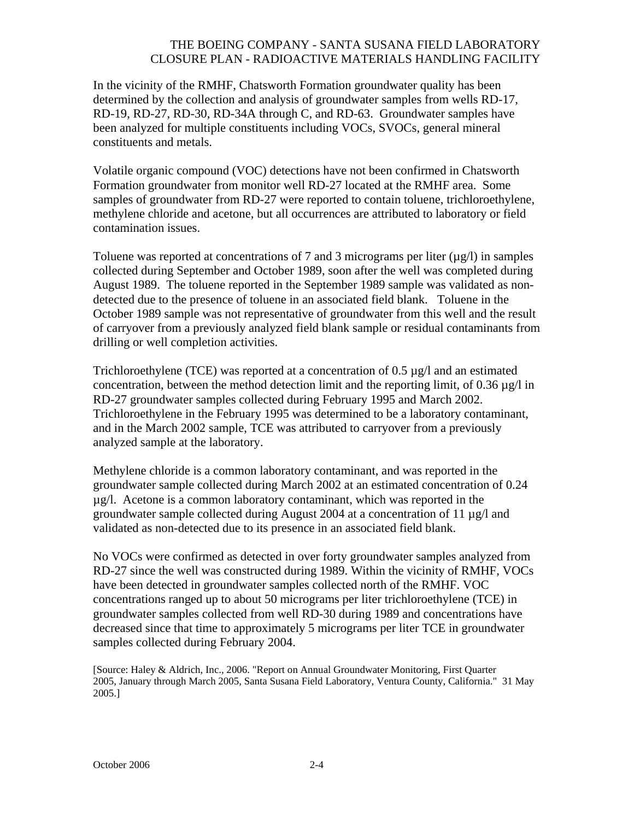In the vicinity of the RMHF, Chatsworth Formation groundwater quality has been determined by the collection and analysis of groundwater samples from wells RD-17, RD-19, RD-27, RD-30, RD-34A through C, and RD-63. Groundwater samples have been analyzed for multiple constituents including VOCs, SVOCs, general mineral constituents and metals.

Volatile organic compound (VOC) detections have not been confirmed in Chatsworth Formation groundwater from monitor well RD-27 located at the RMHF area. Some samples of groundwater from RD-27 were reported to contain toluene, trichloroethylene, methylene chloride and acetone, but all occurrences are attributed to laboratory or field contamination issues.

Toluene was reported at concentrations of 7 and 3 micrograms per liter  $(\mu g/I)$  in samples collected during September and October 1989, soon after the well was completed during August 1989. The toluene reported in the September 1989 sample was validated as nondetected due to the presence of toluene in an associated field blank. Toluene in the October 1989 sample was not representative of groundwater from this well and the result of carryover from a previously analyzed field blank sample or residual contaminants from drilling or well completion activities.

Trichloroethylene (TCE) was reported at a concentration of  $0.5 \mu g/l$  and an estimated concentration, between the method detection limit and the reporting limit, of 0.36 µg/l in RD-27 groundwater samples collected during February 1995 and March 2002. Trichloroethylene in the February 1995 was determined to be a laboratory contaminant, and in the March 2002 sample, TCE was attributed to carryover from a previously analyzed sample at the laboratory.

Methylene chloride is a common laboratory contaminant, and was reported in the groundwater sample collected during March 2002 at an estimated concentration of 0.24 µg/l. Acetone is a common laboratory contaminant, which was reported in the groundwater sample collected during August 2004 at a concentration of 11 µg/l and validated as non-detected due to its presence in an associated field blank.

No VOCs were confirmed as detected in over forty groundwater samples analyzed from RD-27 since the well was constructed during 1989. Within the vicinity of RMHF, VOCs have been detected in groundwater samples collected north of the RMHF. VOC concentrations ranged up to about 50 micrograms per liter trichloroethylene (TCE) in groundwater samples collected from well RD-30 during 1989 and concentrations have decreased since that time to approximately 5 micrograms per liter TCE in groundwater samples collected during February 2004.

[Source: Haley & Aldrich, Inc., 2006. "Report on Annual Groundwater Monitoring, First Quarter 2005, January through March 2005, Santa Susana Field Laboratory, Ventura County, California." 31 May 2005.]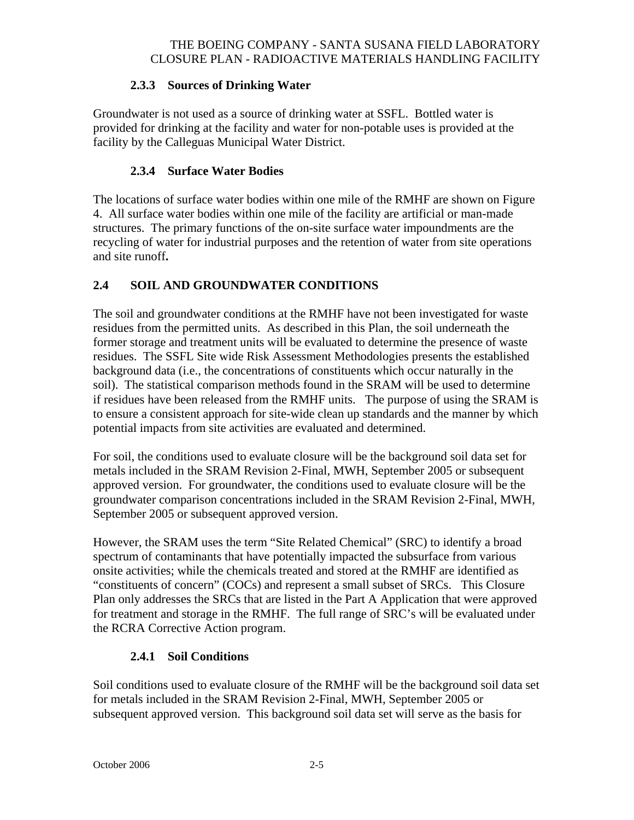## **2.3.3 Sources of Drinking Water**

Groundwater is not used as a source of drinking water at SSFL. Bottled water is provided for drinking at the facility and water for non-potable uses is provided at the facility by the Calleguas Municipal Water District.

### **2.3.4 Surface Water Bodies**

The locations of surface water bodies within one mile of the RMHF are shown on Figure 4. All surface water bodies within one mile of the facility are artificial or man-made structures. The primary functions of the on-site surface water impoundments are the recycling of water for industrial purposes and the retention of water from site operations and site runoff**.** 

## **2.4 SOIL AND GROUNDWATER CONDITIONS**

The soil and groundwater conditions at the RMHF have not been investigated for waste residues from the permitted units. As described in this Plan, the soil underneath the former storage and treatment units will be evaluated to determine the presence of waste residues. The SSFL Site wide Risk Assessment Methodologies presents the established background data (i.e., the concentrations of constituents which occur naturally in the soil). The statistical comparison methods found in the SRAM will be used to determine if residues have been released from the RMHF units. The purpose of using the SRAM is to ensure a consistent approach for site-wide clean up standards and the manner by which potential impacts from site activities are evaluated and determined.

For soil, the conditions used to evaluate closure will be the background soil data set for metals included in the SRAM Revision 2-Final, MWH, September 2005 or subsequent approved version. For groundwater, the conditions used to evaluate closure will be the groundwater comparison concentrations included in the SRAM Revision 2-Final, MWH, September 2005 or subsequent approved version.

However, the SRAM uses the term "Site Related Chemical" (SRC) to identify a broad spectrum of contaminants that have potentially impacted the subsurface from various onsite activities; while the chemicals treated and stored at the RMHF are identified as "constituents of concern" (COCs) and represent a small subset of SRCs. This Closure Plan only addresses the SRCs that are listed in the Part A Application that were approved for treatment and storage in the RMHF. The full range of SRC's will be evaluated under the RCRA Corrective Action program.

## **2.4.1 Soil Conditions**

Soil conditions used to evaluate closure of the RMHF will be the background soil data set for metals included in the SRAM Revision 2-Final, MWH, September 2005 or subsequent approved version. This background soil data set will serve as the basis for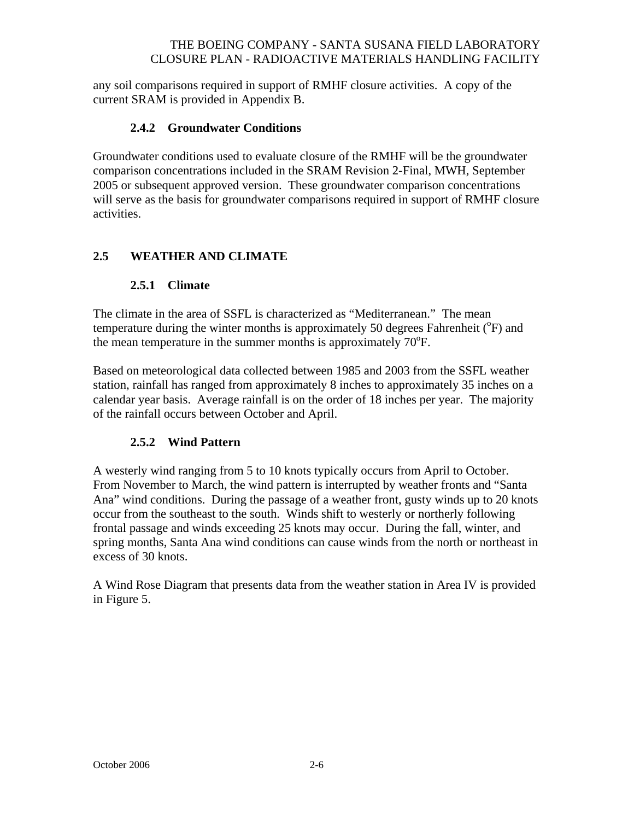any soil comparisons required in support of RMHF closure activities. A copy of the current SRAM is provided in Appendix B.

### **2.4.2 Groundwater Conditions**

Groundwater conditions used to evaluate closure of the RMHF will be the groundwater comparison concentrations included in the SRAM Revision 2-Final, MWH, September 2005 or subsequent approved version. These groundwater comparison concentrations will serve as the basis for groundwater comparisons required in support of RMHF closure activities.

### **2.5 WEATHER AND CLIMATE**

#### **2.5.1 Climate**

The climate in the area of SSFL is characterized as "Mediterranean." The mean temperature during the winter months is approximately 50 degrees Fahrenheit  $(^{\circ}F)$  and the mean temperature in the summer months is approximately  $70^{\circ}$ F.

Based on meteorological data collected between 1985 and 2003 from the SSFL weather station, rainfall has ranged from approximately 8 inches to approximately 35 inches on a calendar year basis. Average rainfall is on the order of 18 inches per year. The majority of the rainfall occurs between October and April.

#### **2.5.2 Wind Pattern**

A westerly wind ranging from 5 to 10 knots typically occurs from April to October. From November to March, the wind pattern is interrupted by weather fronts and "Santa Ana" wind conditions. During the passage of a weather front, gusty winds up to 20 knots occur from the southeast to the south. Winds shift to westerly or northerly following frontal passage and winds exceeding 25 knots may occur. During the fall, winter, and spring months, Santa Ana wind conditions can cause winds from the north or northeast in excess of 30 knots.

A Wind Rose Diagram that presents data from the weather station in Area IV is provided in Figure 5.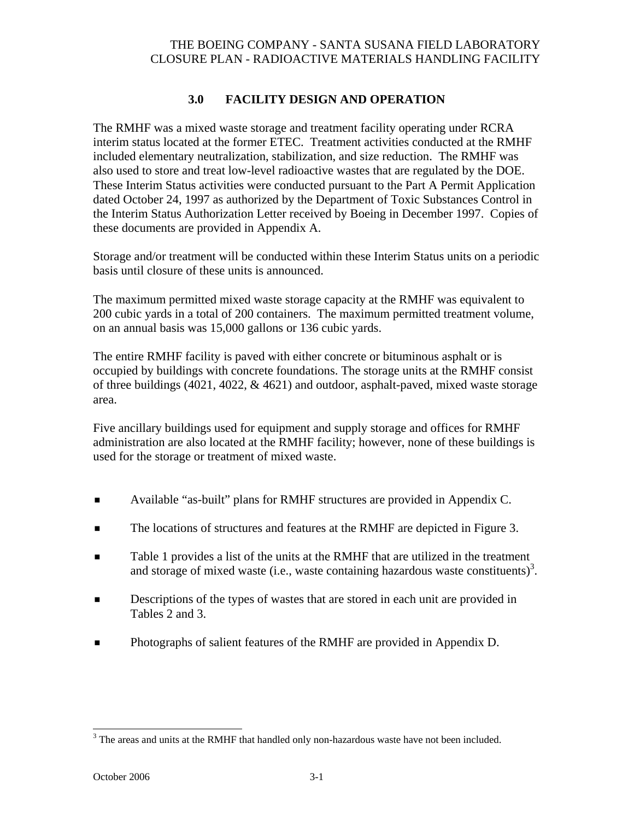## **3.0 FACILITY DESIGN AND OPERATION**

The RMHF was a mixed waste storage and treatment facility operating under RCRA interim status located at the former ETEC. Treatment activities conducted at the RMHF included elementary neutralization, stabilization, and size reduction. The RMHF was also used to store and treat low-level radioactive wastes that are regulated by the DOE. These Interim Status activities were conducted pursuant to the Part A Permit Application dated October 24, 1997 as authorized by the Department of Toxic Substances Control in the Interim Status Authorization Letter received by Boeing in December 1997. Copies of these documents are provided in Appendix A.

Storage and/or treatment will be conducted within these Interim Status units on a periodic basis until closure of these units is announced.

The maximum permitted mixed waste storage capacity at the RMHF was equivalent to 200 cubic yards in a total of 200 containers. The maximum permitted treatment volume, on an annual basis was 15,000 gallons or 136 cubic yards.

The entire RMHF facility is paved with either concrete or bituminous asphalt or is occupied by buildings with concrete foundations. The storage units at the RMHF consist of three buildings (4021, 4022,  $\&$  4621) and outdoor, asphalt-paved, mixed waste storage area.

Five ancillary buildings used for equipment and supply storage and offices for RMHF administration are also located at the RMHF facility; however, none of these buildings is used for the storage or treatment of mixed waste.

- Available "as-built" plans for RMHF structures are provided in Appendix C.
- The locations of structures and features at the RMHF are depicted in Figure 3.
- Table 1 provides a list of the units at the RMHF that are utilized in the treatment and storage of mixed waste (i.e., waste containing hazardous waste constituents)<sup>3</sup>.
- Descriptions of the types of wastes that are stored in each unit are provided in Tables 2 and 3.
- Photographs of salient features of the RMHF are provided in Appendix D.

 $\overline{a}$ 

 $3$  The areas and units at the RMHF that handled only non-hazardous waste have not been included.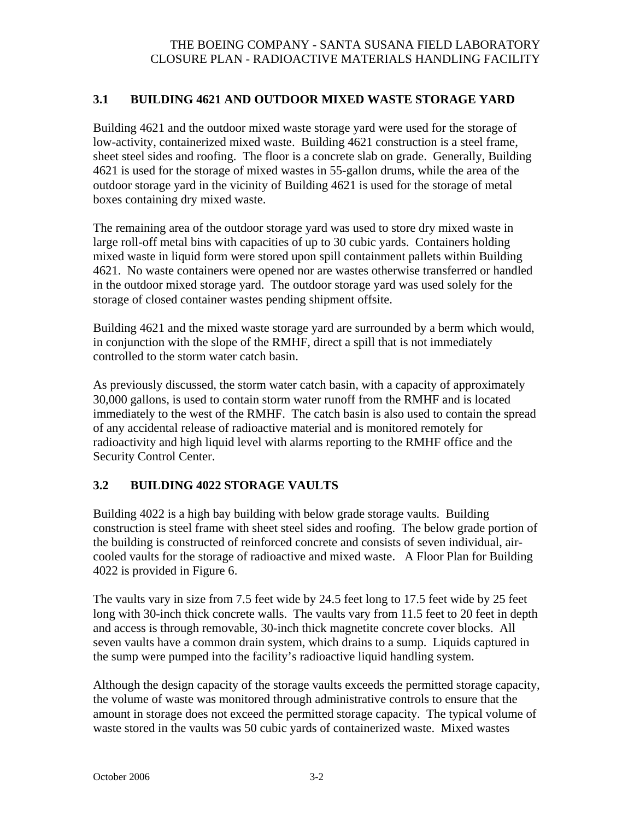#### **3.1 BUILDING 4621 AND OUTDOOR MIXED WASTE STORAGE YARD**

Building 4621 and the outdoor mixed waste storage yard were used for the storage of low-activity, containerized mixed waste. Building 4621 construction is a steel frame, sheet steel sides and roofing. The floor is a concrete slab on grade. Generally, Building 4621 is used for the storage of mixed wastes in 55-gallon drums, while the area of the outdoor storage yard in the vicinity of Building 4621 is used for the storage of metal boxes containing dry mixed waste.

The remaining area of the outdoor storage yard was used to store dry mixed waste in large roll-off metal bins with capacities of up to 30 cubic yards. Containers holding mixed waste in liquid form were stored upon spill containment pallets within Building 4621. No waste containers were opened nor are wastes otherwise transferred or handled in the outdoor mixed storage yard. The outdoor storage yard was used solely for the storage of closed container wastes pending shipment offsite.

Building 4621 and the mixed waste storage yard are surrounded by a berm which would, in conjunction with the slope of the RMHF, direct a spill that is not immediately controlled to the storm water catch basin.

As previously discussed, the storm water catch basin, with a capacity of approximately 30,000 gallons, is used to contain storm water runoff from the RMHF and is located immediately to the west of the RMHF. The catch basin is also used to contain the spread of any accidental release of radioactive material and is monitored remotely for radioactivity and high liquid level with alarms reporting to the RMHF office and the Security Control Center.

### **3.2 BUILDING 4022 STORAGE VAULTS**

Building 4022 is a high bay building with below grade storage vaults. Building construction is steel frame with sheet steel sides and roofing. The below grade portion of the building is constructed of reinforced concrete and consists of seven individual, aircooled vaults for the storage of radioactive and mixed waste. A Floor Plan for Building 4022 is provided in Figure 6.

The vaults vary in size from 7.5 feet wide by 24.5 feet long to 17.5 feet wide by 25 feet long with 30-inch thick concrete walls. The vaults vary from 11.5 feet to 20 feet in depth and access is through removable, 30-inch thick magnetite concrete cover blocks. All seven vaults have a common drain system, which drains to a sump. Liquids captured in the sump were pumped into the facility's radioactive liquid handling system.

Although the design capacity of the storage vaults exceeds the permitted storage capacity, the volume of waste was monitored through administrative controls to ensure that the amount in storage does not exceed the permitted storage capacity. The typical volume of waste stored in the vaults was 50 cubic yards of containerized waste. Mixed wastes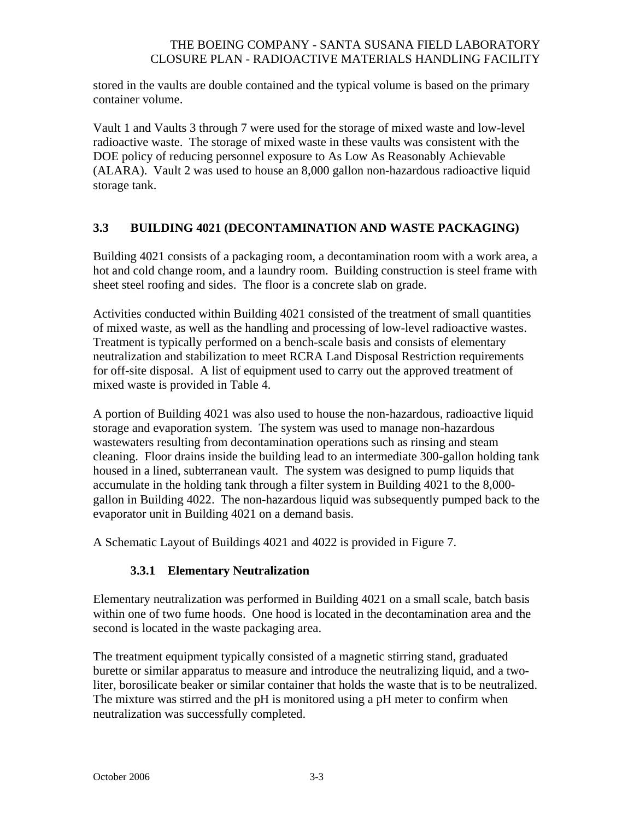stored in the vaults are double contained and the typical volume is based on the primary container volume.

Vault 1 and Vaults 3 through 7 were used for the storage of mixed waste and low-level radioactive waste. The storage of mixed waste in these vaults was consistent with the DOE policy of reducing personnel exposure to As Low As Reasonably Achievable (ALARA). Vault 2 was used to house an 8,000 gallon non-hazardous radioactive liquid storage tank.

### **3.3 BUILDING 4021 (DECONTAMINATION AND WASTE PACKAGING)**

Building 4021 consists of a packaging room, a decontamination room with a work area, a hot and cold change room, and a laundry room. Building construction is steel frame with sheet steel roofing and sides. The floor is a concrete slab on grade.

Activities conducted within Building 4021 consisted of the treatment of small quantities of mixed waste, as well as the handling and processing of low-level radioactive wastes. Treatment is typically performed on a bench-scale basis and consists of elementary neutralization and stabilization to meet RCRA Land Disposal Restriction requirements for off-site disposal. A list of equipment used to carry out the approved treatment of mixed waste is provided in Table 4.

A portion of Building 4021 was also used to house the non-hazardous, radioactive liquid storage and evaporation system. The system was used to manage non-hazardous wastewaters resulting from decontamination operations such as rinsing and steam cleaning. Floor drains inside the building lead to an intermediate 300-gallon holding tank housed in a lined, subterranean vault. The system was designed to pump liquids that accumulate in the holding tank through a filter system in Building 4021 to the 8,000 gallon in Building 4022. The non-hazardous liquid was subsequently pumped back to the evaporator unit in Building 4021 on a demand basis.

A Schematic Layout of Buildings 4021 and 4022 is provided in Figure 7.

### **3.3.1 Elementary Neutralization**

Elementary neutralization was performed in Building 4021 on a small scale, batch basis within one of two fume hoods. One hood is located in the decontamination area and the second is located in the waste packaging area.

The treatment equipment typically consisted of a magnetic stirring stand, graduated burette or similar apparatus to measure and introduce the neutralizing liquid, and a twoliter, borosilicate beaker or similar container that holds the waste that is to be neutralized. The mixture was stirred and the pH is monitored using a pH meter to confirm when neutralization was successfully completed.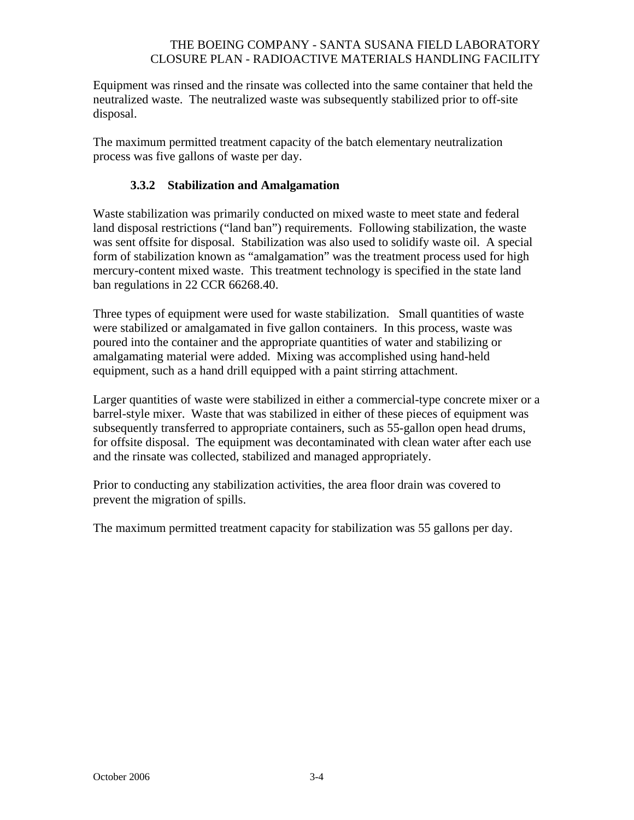Equipment was rinsed and the rinsate was collected into the same container that held the neutralized waste. The neutralized waste was subsequently stabilized prior to off-site disposal.

The maximum permitted treatment capacity of the batch elementary neutralization process was five gallons of waste per day.

### **3.3.2 Stabilization and Amalgamation**

Waste stabilization was primarily conducted on mixed waste to meet state and federal land disposal restrictions ("land ban") requirements. Following stabilization, the waste was sent offsite for disposal. Stabilization was also used to solidify waste oil. A special form of stabilization known as "amalgamation" was the treatment process used for high mercury-content mixed waste. This treatment technology is specified in the state land ban regulations in 22 CCR 66268.40.

Three types of equipment were used for waste stabilization. Small quantities of waste were stabilized or amalgamated in five gallon containers. In this process, waste was poured into the container and the appropriate quantities of water and stabilizing or amalgamating material were added. Mixing was accomplished using hand-held equipment, such as a hand drill equipped with a paint stirring attachment.

Larger quantities of waste were stabilized in either a commercial-type concrete mixer or a barrel-style mixer. Waste that was stabilized in either of these pieces of equipment was subsequently transferred to appropriate containers, such as 55-gallon open head drums, for offsite disposal. The equipment was decontaminated with clean water after each use and the rinsate was collected, stabilized and managed appropriately.

Prior to conducting any stabilization activities, the area floor drain was covered to prevent the migration of spills.

The maximum permitted treatment capacity for stabilization was 55 gallons per day.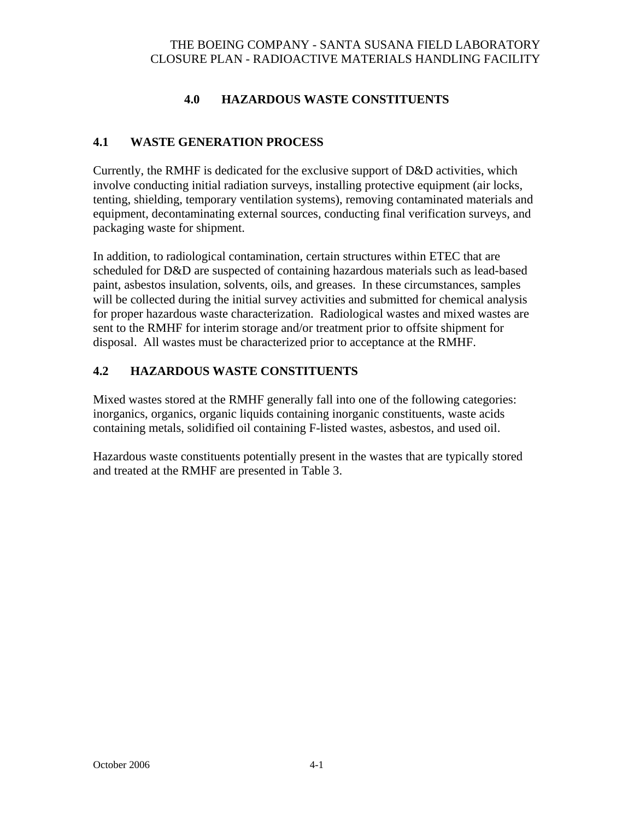## **4.0 HAZARDOUS WASTE CONSTITUENTS**

### **4.1 WASTE GENERATION PROCESS**

Currently, the RMHF is dedicated for the exclusive support of D&D activities, which involve conducting initial radiation surveys, installing protective equipment (air locks, tenting, shielding, temporary ventilation systems), removing contaminated materials and equipment, decontaminating external sources, conducting final verification surveys, and packaging waste for shipment.

In addition, to radiological contamination, certain structures within ETEC that are scheduled for D&D are suspected of containing hazardous materials such as lead-based paint, asbestos insulation, solvents, oils, and greases. In these circumstances, samples will be collected during the initial survey activities and submitted for chemical analysis for proper hazardous waste characterization. Radiological wastes and mixed wastes are sent to the RMHF for interim storage and/or treatment prior to offsite shipment for disposal. All wastes must be characterized prior to acceptance at the RMHF.

### **4.2 HAZARDOUS WASTE CONSTITUENTS**

Mixed wastes stored at the RMHF generally fall into one of the following categories: inorganics, organics, organic liquids containing inorganic constituents, waste acids containing metals, solidified oil containing F-listed wastes, asbestos, and used oil.

Hazardous waste constituents potentially present in the wastes that are typically stored and treated at the RMHF are presented in Table 3.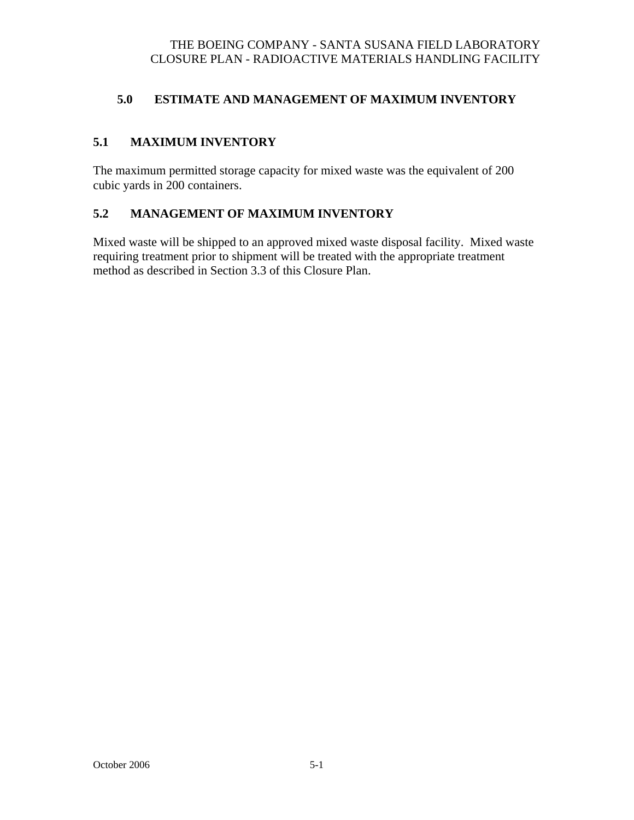## **5.0 ESTIMATE AND MANAGEMENT OF MAXIMUM INVENTORY**

### **5.1 MAXIMUM INVENTORY**

The maximum permitted storage capacity for mixed waste was the equivalent of 200 cubic yards in 200 containers.

### **5.2 MANAGEMENT OF MAXIMUM INVENTORY**

Mixed waste will be shipped to an approved mixed waste disposal facility. Mixed waste requiring treatment prior to shipment will be treated with the appropriate treatment method as described in Section 3.3 of this Closure Plan.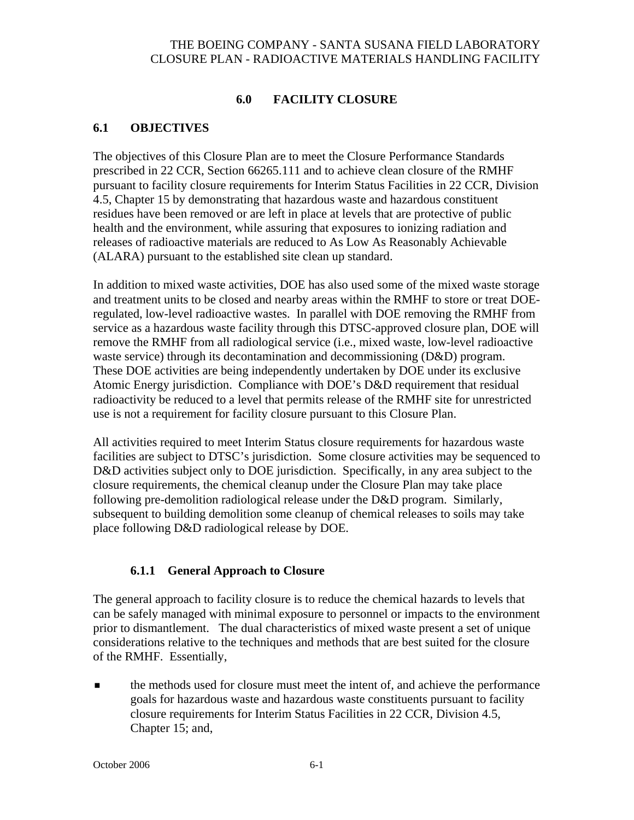## **6.0 FACILITY CLOSURE**

#### **6.1 OBJECTIVES**

The objectives of this Closure Plan are to meet the Closure Performance Standards prescribed in 22 CCR, Section 66265.111 and to achieve clean closure of the RMHF pursuant to facility closure requirements for Interim Status Facilities in 22 CCR, Division 4.5, Chapter 15 by demonstrating that hazardous waste and hazardous constituent residues have been removed or are left in place at levels that are protective of public health and the environment, while assuring that exposures to ionizing radiation and releases of radioactive materials are reduced to As Low As Reasonably Achievable (ALARA) pursuant to the established site clean up standard.

In addition to mixed waste activities, DOE has also used some of the mixed waste storage and treatment units to be closed and nearby areas within the RMHF to store or treat DOEregulated, low-level radioactive wastes. In parallel with DOE removing the RMHF from service as a hazardous waste facility through this DTSC-approved closure plan, DOE will remove the RMHF from all radiological service (i.e., mixed waste, low-level radioactive waste service) through its decontamination and decommissioning (D&D) program. These DOE activities are being independently undertaken by DOE under its exclusive Atomic Energy jurisdiction. Compliance with DOE's D&D requirement that residual radioactivity be reduced to a level that permits release of the RMHF site for unrestricted use is not a requirement for facility closure pursuant to this Closure Plan.

All activities required to meet Interim Status closure requirements for hazardous waste facilities are subject to DTSC's jurisdiction. Some closure activities may be sequenced to D&D activities subject only to DOE jurisdiction. Specifically, in any area subject to the closure requirements, the chemical cleanup under the Closure Plan may take place following pre-demolition radiological release under the D&D program. Similarly, subsequent to building demolition some cleanup of chemical releases to soils may take place following D&D radiological release by DOE.

#### **6.1.1 General Approach to Closure**

The general approach to facility closure is to reduce the chemical hazards to levels that can be safely managed with minimal exposure to personnel or impacts to the environment prior to dismantlement. The dual characteristics of mixed waste present a set of unique considerations relative to the techniques and methods that are best suited for the closure of the RMHF. Essentially,

 the methods used for closure must meet the intent of, and achieve the performance goals for hazardous waste and hazardous waste constituents pursuant to facility closure requirements for Interim Status Facilities in 22 CCR, Division 4.5, Chapter 15; and,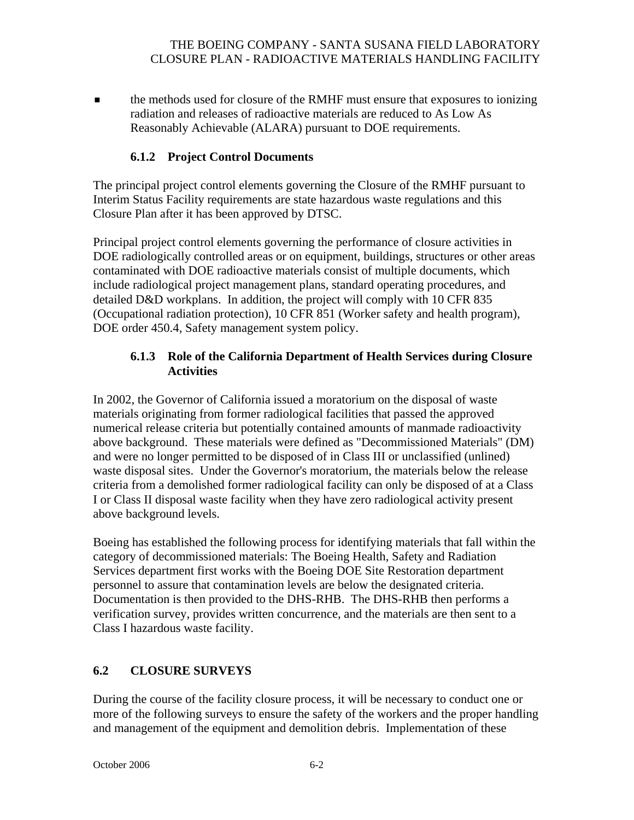**the methods used for closure of the RMHF must ensure that exposures to ionizing** radiation and releases of radioactive materials are reduced to As Low As Reasonably Achievable (ALARA) pursuant to DOE requirements.

## **6.1.2 Project Control Documents**

The principal project control elements governing the Closure of the RMHF pursuant to Interim Status Facility requirements are state hazardous waste regulations and this Closure Plan after it has been approved by DTSC.

Principal project control elements governing the performance of closure activities in DOE radiologically controlled areas or on equipment, buildings, structures or other areas contaminated with DOE radioactive materials consist of multiple documents, which include radiological project management plans, standard operating procedures, and detailed D&D workplans. In addition, the project will comply with 10 CFR 835 (Occupational radiation protection), 10 CFR 851 (Worker safety and health program), DOE order 450.4, Safety management system policy.

### **6.1.3 Role of the California Department of Health Services during Closure Activities**

In 2002, the Governor of California issued a moratorium on the disposal of waste materials originating from former radiological facilities that passed the approved numerical release criteria but potentially contained amounts of manmade radioactivity above background. These materials were defined as "Decommissioned Materials" (DM) and were no longer permitted to be disposed of in Class III or unclassified (unlined) waste disposal sites. Under the Governor's moratorium, the materials below the release criteria from a demolished former radiological facility can only be disposed of at a Class I or Class II disposal waste facility when they have zero radiological activity present above background levels.

Boeing has established the following process for identifying materials that fall within the category of decommissioned materials: The Boeing Health, Safety and Radiation Services department first works with the Boeing DOE Site Restoration department personnel to assure that contamination levels are below the designated criteria. Documentation is then provided to the DHS-RHB. The DHS-RHB then performs a verification survey, provides written concurrence, and the materials are then sent to a Class I hazardous waste facility.

## **6.2 CLOSURE SURVEYS**

During the course of the facility closure process, it will be necessary to conduct one or more of the following surveys to ensure the safety of the workers and the proper handling and management of the equipment and demolition debris. Implementation of these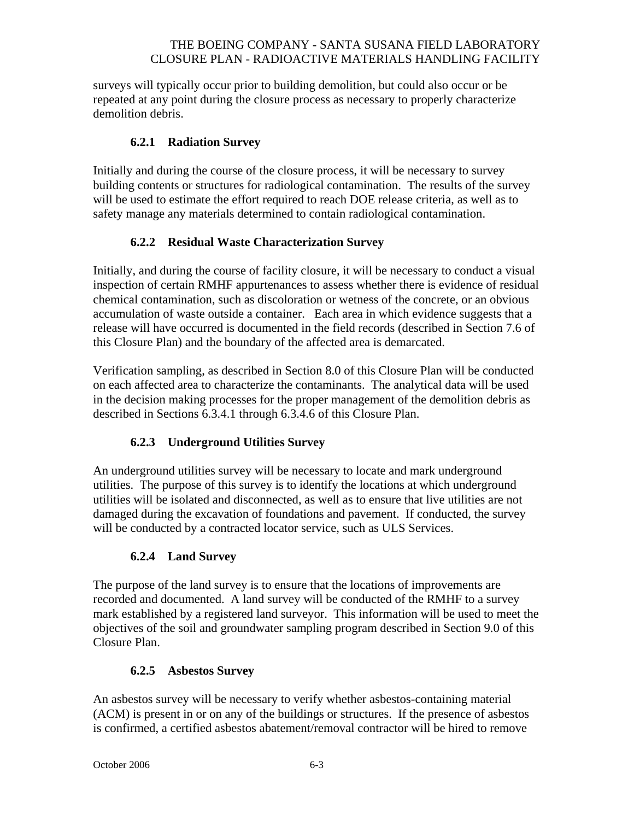surveys will typically occur prior to building demolition, but could also occur or be repeated at any point during the closure process as necessary to properly characterize demolition debris.

### **6.2.1 Radiation Survey**

Initially and during the course of the closure process, it will be necessary to survey building contents or structures for radiological contamination. The results of the survey will be used to estimate the effort required to reach DOE release criteria, as well as to safety manage any materials determined to contain radiological contamination.

## **6.2.2 Residual Waste Characterization Survey**

Initially, and during the course of facility closure, it will be necessary to conduct a visual inspection of certain RMHF appurtenances to assess whether there is evidence of residual chemical contamination, such as discoloration or wetness of the concrete, or an obvious accumulation of waste outside a container. Each area in which evidence suggests that a release will have occurred is documented in the field records (described in Section 7.6 of this Closure Plan) and the boundary of the affected area is demarcated.

Verification sampling, as described in Section 8.0 of this Closure Plan will be conducted on each affected area to characterize the contaminants. The analytical data will be used in the decision making processes for the proper management of the demolition debris as described in Sections 6.3.4.1 through 6.3.4.6 of this Closure Plan.

### **6.2.3 Underground Utilities Survey**

An underground utilities survey will be necessary to locate and mark underground utilities. The purpose of this survey is to identify the locations at which underground utilities will be isolated and disconnected, as well as to ensure that live utilities are not damaged during the excavation of foundations and pavement. If conducted, the survey will be conducted by a contracted locator service, such as ULS Services.

## **6.2.4 Land Survey**

The purpose of the land survey is to ensure that the locations of improvements are recorded and documented. A land survey will be conducted of the RMHF to a survey mark established by a registered land surveyor. This information will be used to meet the objectives of the soil and groundwater sampling program described in Section 9.0 of this Closure Plan.

### **6.2.5 Asbestos Survey**

An asbestos survey will be necessary to verify whether asbestos-containing material (ACM) is present in or on any of the buildings or structures. If the presence of asbestos is confirmed, a certified asbestos abatement/removal contractor will be hired to remove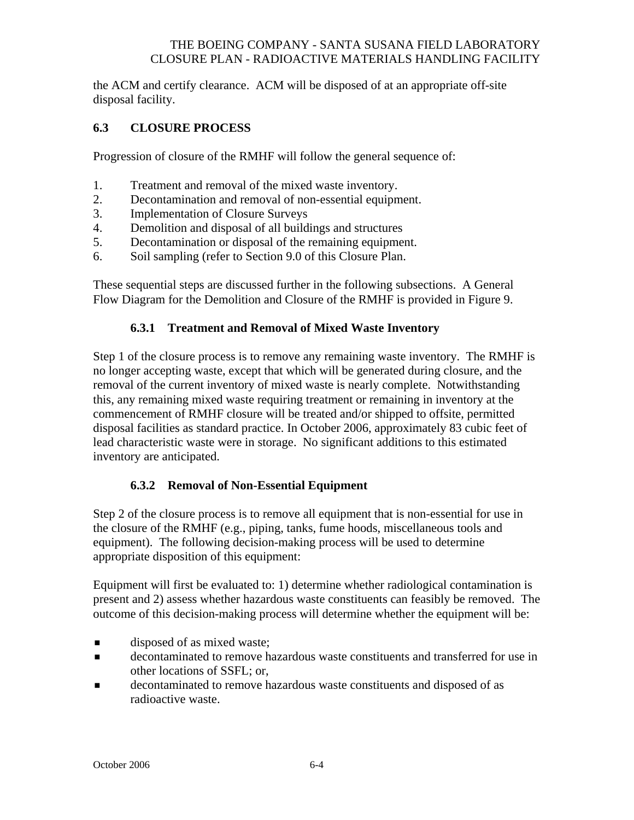the ACM and certify clearance. ACM will be disposed of at an appropriate off-site disposal facility.

### **6.3 CLOSURE PROCESS**

Progression of closure of the RMHF will follow the general sequence of:

- 1. Treatment and removal of the mixed waste inventory.
- 2. Decontamination and removal of non-essential equipment.
- 3. Implementation of Closure Surveys
- 4. Demolition and disposal of all buildings and structures
- 5. Decontamination or disposal of the remaining equipment.
- 6. Soil sampling (refer to Section 9.0 of this Closure Plan.

These sequential steps are discussed further in the following subsections. A General Flow Diagram for the Demolition and Closure of the RMHF is provided in Figure 9.

#### **6.3.1 Treatment and Removal of Mixed Waste Inventory**

Step 1 of the closure process is to remove any remaining waste inventory. The RMHF is no longer accepting waste, except that which will be generated during closure, and the removal of the current inventory of mixed waste is nearly complete. Notwithstanding this, any remaining mixed waste requiring treatment or remaining in inventory at the commencement of RMHF closure will be treated and/or shipped to offsite, permitted disposal facilities as standard practice. In October 2006, approximately 83 cubic feet of lead characteristic waste were in storage. No significant additions to this estimated inventory are anticipated.

### **6.3.2 Removal of Non-Essential Equipment**

Step 2 of the closure process is to remove all equipment that is non-essential for use in the closure of the RMHF (e.g., piping, tanks, fume hoods, miscellaneous tools and equipment). The following decision-making process will be used to determine appropriate disposition of this equipment:

Equipment will first be evaluated to: 1) determine whether radiological contamination is present and 2) assess whether hazardous waste constituents can feasibly be removed. The outcome of this decision-making process will determine whether the equipment will be:

- disposed of as mixed waste;
- decontaminated to remove hazardous waste constituents and transferred for use in other locations of SSFL; or,
- decontaminated to remove hazardous waste constituents and disposed of as radioactive waste.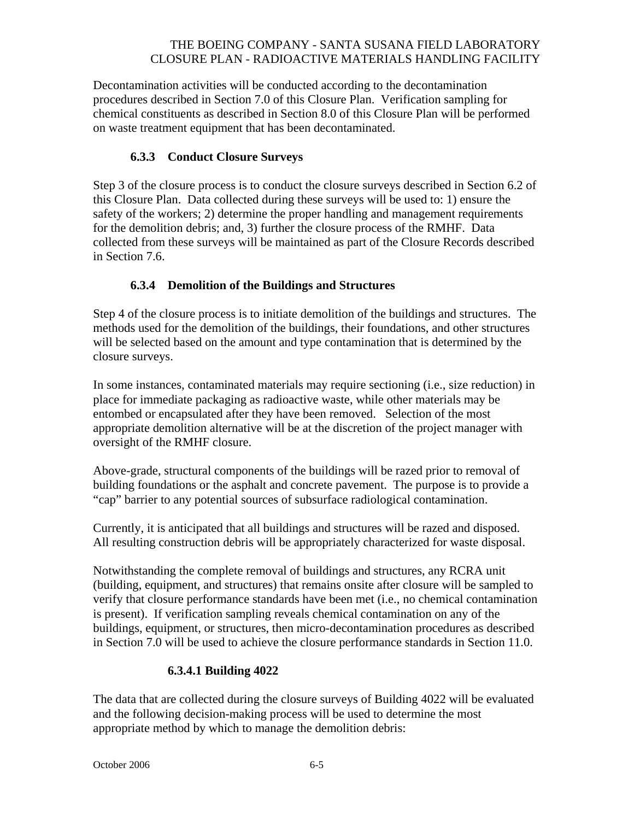Decontamination activities will be conducted according to the decontamination procedures described in Section 7.0 of this Closure Plan. Verification sampling for chemical constituents as described in Section 8.0 of this Closure Plan will be performed on waste treatment equipment that has been decontaminated.

## **6.3.3 Conduct Closure Surveys**

Step 3 of the closure process is to conduct the closure surveys described in Section 6.2 of this Closure Plan. Data collected during these surveys will be used to: 1) ensure the safety of the workers; 2) determine the proper handling and management requirements for the demolition debris; and, 3) further the closure process of the RMHF. Data collected from these surveys will be maintained as part of the Closure Records described in Section 7.6.

## **6.3.4 Demolition of the Buildings and Structures**

Step 4 of the closure process is to initiate demolition of the buildings and structures. The methods used for the demolition of the buildings, their foundations, and other structures will be selected based on the amount and type contamination that is determined by the closure surveys.

In some instances, contaminated materials may require sectioning (i.e., size reduction) in place for immediate packaging as radioactive waste, while other materials may be entombed or encapsulated after they have been removed. Selection of the most appropriate demolition alternative will be at the discretion of the project manager with oversight of the RMHF closure.

Above-grade, structural components of the buildings will be razed prior to removal of building foundations or the asphalt and concrete pavement. The purpose is to provide a "cap" barrier to any potential sources of subsurface radiological contamination.

Currently, it is anticipated that all buildings and structures will be razed and disposed. All resulting construction debris will be appropriately characterized for waste disposal.

Notwithstanding the complete removal of buildings and structures, any RCRA unit (building, equipment, and structures) that remains onsite after closure will be sampled to verify that closure performance standards have been met (i.e., no chemical contamination is present). If verification sampling reveals chemical contamination on any of the buildings, equipment, or structures, then micro-decontamination procedures as described in Section 7.0 will be used to achieve the closure performance standards in Section 11.0.

### **6.3.4.1 Building 4022**

The data that are collected during the closure surveys of Building 4022 will be evaluated and the following decision-making process will be used to determine the most appropriate method by which to manage the demolition debris: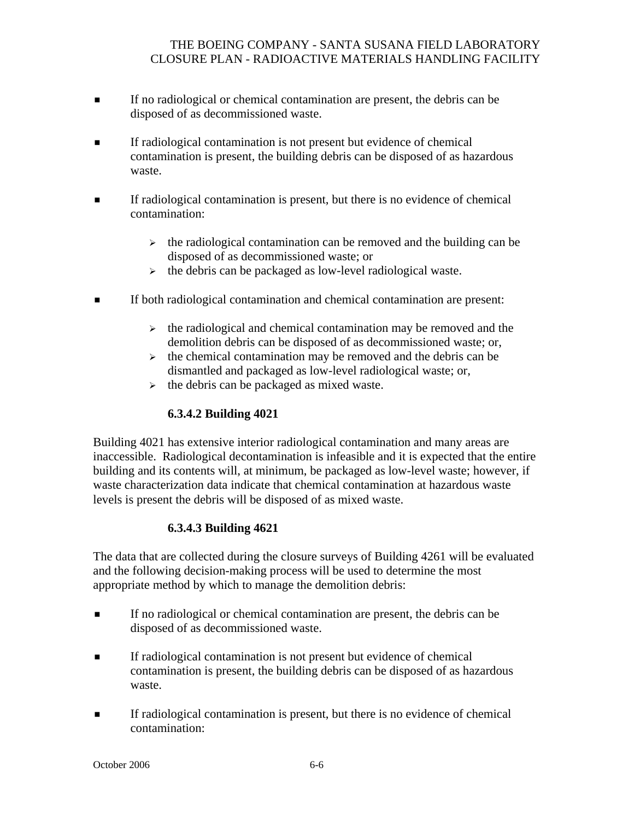- If no radiological or chemical contamination are present, the debris can be disposed of as decommissioned waste.
- If radiological contamination is not present but evidence of chemical contamination is present, the building debris can be disposed of as hazardous waste.
- If radiological contamination is present, but there is no evidence of chemical contamination:
	- $\rightarrow$  the radiological contamination can be removed and the building can be disposed of as decommissioned waste; or
	- $\triangleright$  the debris can be packaged as low-level radiological waste.
- If both radiological contamination and chemical contamination are present:
	- $\triangleright$  the radiological and chemical contamination may be removed and the demolition debris can be disposed of as decommissioned waste; or,
	- $\rightarrow$  the chemical contamination may be removed and the debris can be dismantled and packaged as low-level radiological waste; or,
	- $\triangleright$  the debris can be packaged as mixed waste.

## **6.3.4.2 Building 4021**

Building 4021 has extensive interior radiological contamination and many areas are inaccessible. Radiological decontamination is infeasible and it is expected that the entire building and its contents will, at minimum, be packaged as low-level waste; however, if waste characterization data indicate that chemical contamination at hazardous waste levels is present the debris will be disposed of as mixed waste.

### **6.3.4.3 Building 4621**

The data that are collected during the closure surveys of Building 4261 will be evaluated and the following decision-making process will be used to determine the most appropriate method by which to manage the demolition debris:

- If no radiological or chemical contamination are present, the debris can be disposed of as decommissioned waste.
- If radiological contamination is not present but evidence of chemical contamination is present, the building debris can be disposed of as hazardous waste.
- If radiological contamination is present, but there is no evidence of chemical contamination: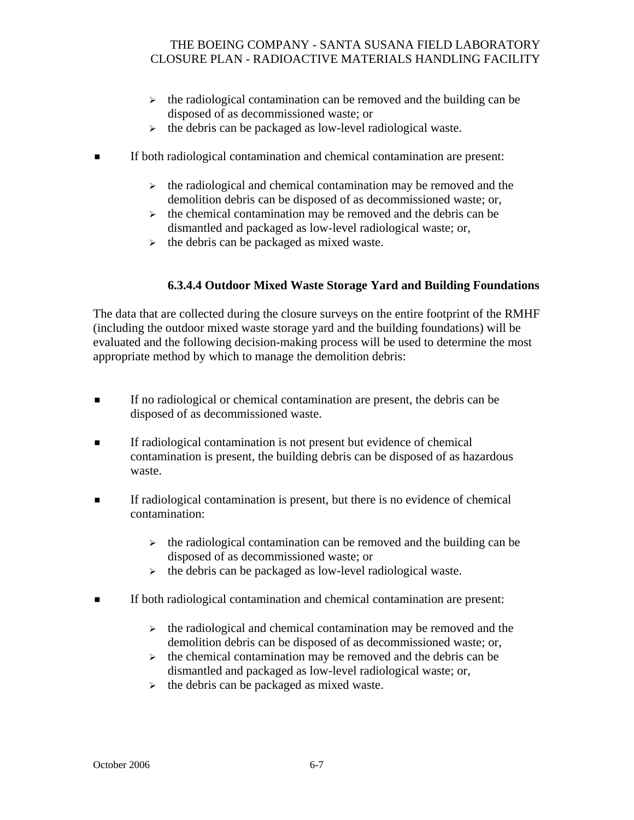- $\rightarrow$  the radiological contamination can be removed and the building can be disposed of as decommissioned waste; or
- $\triangleright$  the debris can be packaged as low-level radiological waste.
- If both radiological contamination and chemical contamination are present:
	- $\triangleright$  the radiological and chemical contamination may be removed and the demolition debris can be disposed of as decommissioned waste; or,
	- $\rightarrow$  the chemical contamination may be removed and the debris can be dismantled and packaged as low-level radiological waste; or,
	- $\triangleright$  the debris can be packaged as mixed waste.

### **6.3.4.4 Outdoor Mixed Waste Storage Yard and Building Foundations**

The data that are collected during the closure surveys on the entire footprint of the RMHF (including the outdoor mixed waste storage yard and the building foundations) will be evaluated and the following decision-making process will be used to determine the most appropriate method by which to manage the demolition debris:

- If no radiological or chemical contamination are present, the debris can be disposed of as decommissioned waste.
- If radiological contamination is not present but evidence of chemical contamination is present, the building debris can be disposed of as hazardous waste.
- If radiological contamination is present, but there is no evidence of chemical contamination:
	- $\rightarrow$  the radiological contamination can be removed and the building can be disposed of as decommissioned waste; or
	- $\triangleright$  the debris can be packaged as low-level radiological waste.
- If both radiological contamination and chemical contamination are present:
	- $\rightarrow$  the radiological and chemical contamination may be removed and the demolition debris can be disposed of as decommissioned waste; or,
	- $\rightarrow$  the chemical contamination may be removed and the debris can be dismantled and packaged as low-level radiological waste; or,
	- $\triangleright$  the debris can be packaged as mixed waste.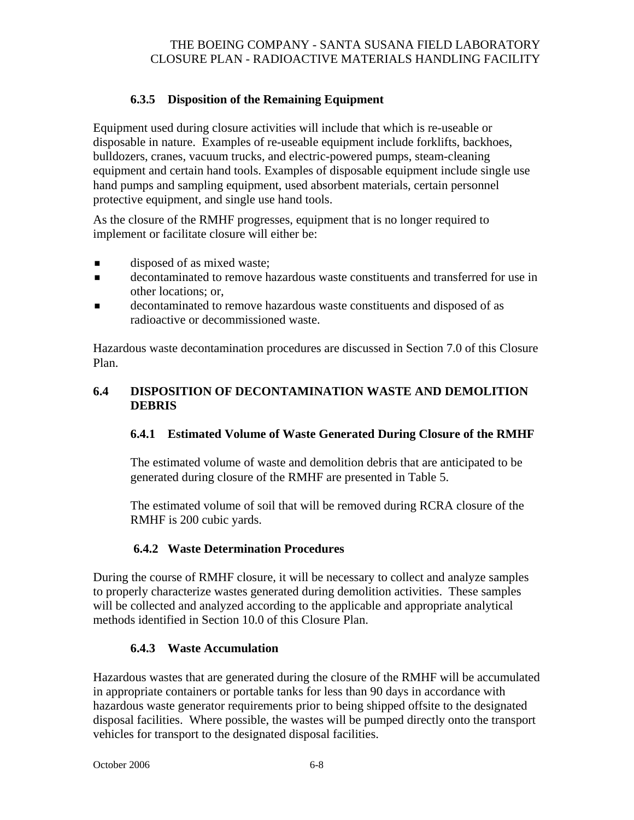## **6.3.5 Disposition of the Remaining Equipment**

Equipment used during closure activities will include that which is re-useable or disposable in nature. Examples of re-useable equipment include forklifts, backhoes, bulldozers, cranes, vacuum trucks, and electric-powered pumps, steam-cleaning equipment and certain hand tools. Examples of disposable equipment include single use hand pumps and sampling equipment, used absorbent materials, certain personnel protective equipment, and single use hand tools.

As the closure of the RMHF progresses, equipment that is no longer required to implement or facilitate closure will either be:

- **disposed of as mixed waste;**
- decontaminated to remove hazardous waste constituents and transferred for use in other locations; or,
- decontaminated to remove hazardous waste constituents and disposed of as radioactive or decommissioned waste.

Hazardous waste decontamination procedures are discussed in Section 7.0 of this Closure Plan.

### **6.4 DISPOSITION OF DECONTAMINATION WASTE AND DEMOLITION DEBRIS**

## **6.4.1 Estimated Volume of Waste Generated During Closure of the RMHF**

The estimated volume of waste and demolition debris that are anticipated to be generated during closure of the RMHF are presented in Table 5.

The estimated volume of soil that will be removed during RCRA closure of the RMHF is 200 cubic yards.

## **6.4.2 Waste Determination Procedures**

During the course of RMHF closure, it will be necessary to collect and analyze samples to properly characterize wastes generated during demolition activities. These samples will be collected and analyzed according to the applicable and appropriate analytical methods identified in Section 10.0 of this Closure Plan.

## **6.4.3 Waste Accumulation**

Hazardous wastes that are generated during the closure of the RMHF will be accumulated in appropriate containers or portable tanks for less than 90 days in accordance with hazardous waste generator requirements prior to being shipped offsite to the designated disposal facilities. Where possible, the wastes will be pumped directly onto the transport vehicles for transport to the designated disposal facilities.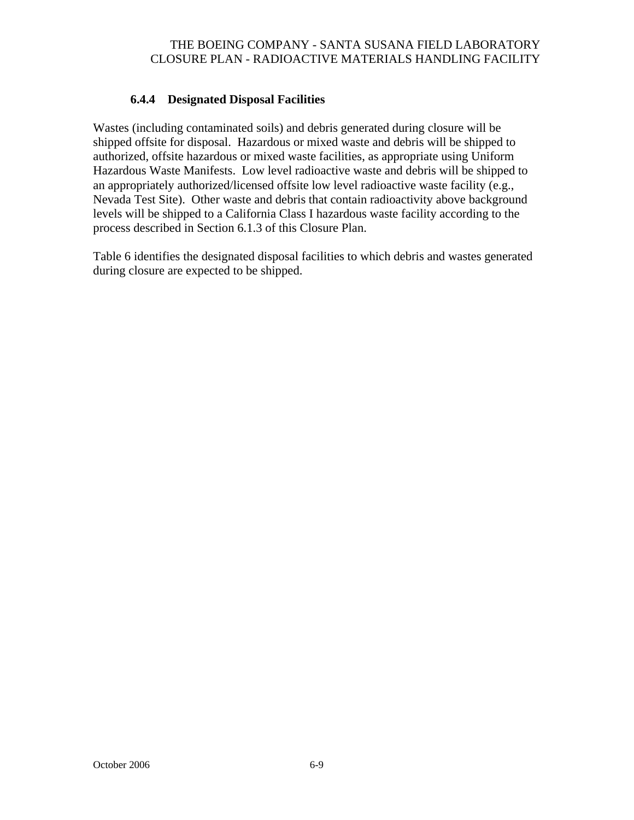### **6.4.4 Designated Disposal Facilities**

Wastes (including contaminated soils) and debris generated during closure will be shipped offsite for disposal. Hazardous or mixed waste and debris will be shipped to authorized, offsite hazardous or mixed waste facilities, as appropriate using Uniform Hazardous Waste Manifests. Low level radioactive waste and debris will be shipped to an appropriately authorized/licensed offsite low level radioactive waste facility (e.g., Nevada Test Site). Other waste and debris that contain radioactivity above background levels will be shipped to a California Class I hazardous waste facility according to the process described in Section 6.1.3 of this Closure Plan.

Table 6 identifies the designated disposal facilities to which debris and wastes generated during closure are expected to be shipped.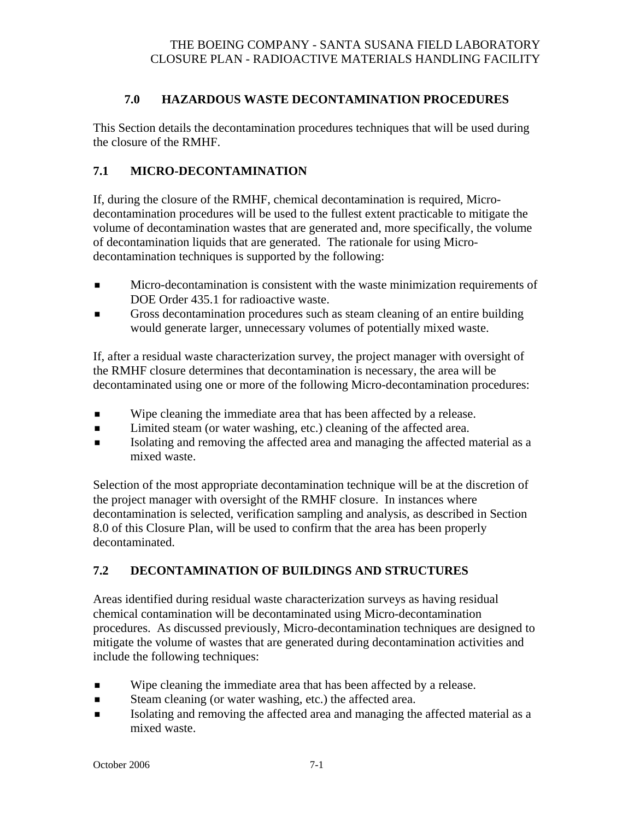### **7.0 HAZARDOUS WASTE DECONTAMINATION PROCEDURES**

This Section details the decontamination procedures techniques that will be used during the closure of the RMHF.

## **7.1 MICRO-DECONTAMINATION**

If, during the closure of the RMHF, chemical decontamination is required, Microdecontamination procedures will be used to the fullest extent practicable to mitigate the volume of decontamination wastes that are generated and, more specifically, the volume of decontamination liquids that are generated. The rationale for using Microdecontamination techniques is supported by the following:

- **Micro-decontamination is consistent with the waste minimization requirements of** DOE Order 435.1 for radioactive waste.
- Gross decontamination procedures such as steam cleaning of an entire building would generate larger, unnecessary volumes of potentially mixed waste.

If, after a residual waste characterization survey, the project manager with oversight of the RMHF closure determines that decontamination is necessary, the area will be decontaminated using one or more of the following Micro-decontamination procedures:

- Wipe cleaning the immediate area that has been affected by a release.
- Limited steam (or water washing, etc.) cleaning of the affected area.
- Isolating and removing the affected area and managing the affected material as a mixed waste.

Selection of the most appropriate decontamination technique will be at the discretion of the project manager with oversight of the RMHF closure. In instances where decontamination is selected, verification sampling and analysis, as described in Section 8.0 of this Closure Plan, will be used to confirm that the area has been properly decontaminated.

## **7.2 DECONTAMINATION OF BUILDINGS AND STRUCTURES**

Areas identified during residual waste characterization surveys as having residual chemical contamination will be decontaminated using Micro-decontamination procedures. As discussed previously, Micro-decontamination techniques are designed to mitigate the volume of wastes that are generated during decontamination activities and include the following techniques:

- Wipe cleaning the immediate area that has been affected by a release.
- Steam cleaning (or water washing, etc.) the affected area.
- Isolating and removing the affected area and managing the affected material as a mixed waste.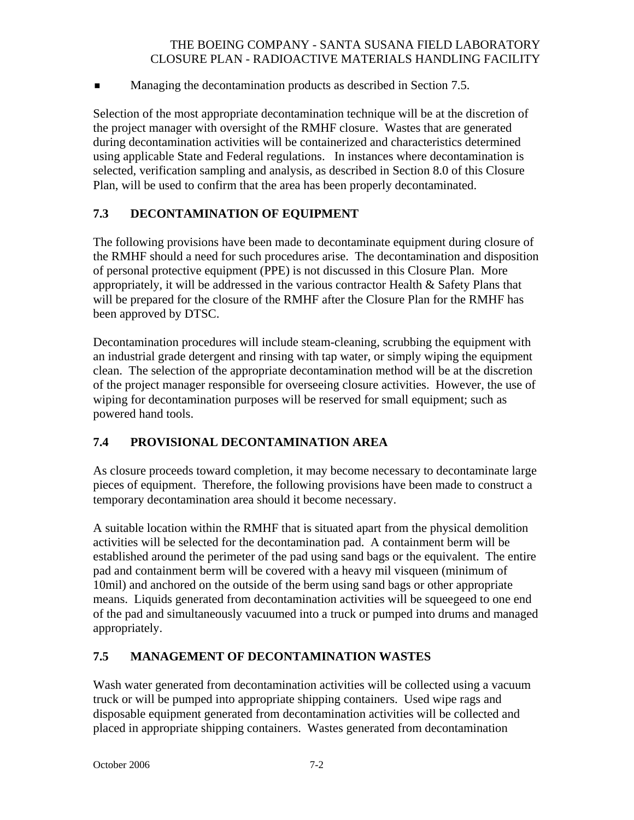**Managing the decontamination products as described in Section 7.5.** 

Selection of the most appropriate decontamination technique will be at the discretion of the project manager with oversight of the RMHF closure. Wastes that are generated during decontamination activities will be containerized and characteristics determined using applicable State and Federal regulations. In instances where decontamination is selected, verification sampling and analysis, as described in Section 8.0 of this Closure Plan, will be used to confirm that the area has been properly decontaminated.

## **7.3 DECONTAMINATION OF EQUIPMENT**

The following provisions have been made to decontaminate equipment during closure of the RMHF should a need for such procedures arise. The decontamination and disposition of personal protective equipment (PPE) is not discussed in this Closure Plan. More appropriately, it will be addressed in the various contractor Health & Safety Plans that will be prepared for the closure of the RMHF after the Closure Plan for the RMHF has been approved by DTSC.

Decontamination procedures will include steam-cleaning, scrubbing the equipment with an industrial grade detergent and rinsing with tap water, or simply wiping the equipment clean. The selection of the appropriate decontamination method will be at the discretion of the project manager responsible for overseeing closure activities. However, the use of wiping for decontamination purposes will be reserved for small equipment; such as powered hand tools.

### **7.4 PROVISIONAL DECONTAMINATION AREA**

As closure proceeds toward completion, it may become necessary to decontaminate large pieces of equipment. Therefore, the following provisions have been made to construct a temporary decontamination area should it become necessary.

A suitable location within the RMHF that is situated apart from the physical demolition activities will be selected for the decontamination pad. A containment berm will be established around the perimeter of the pad using sand bags or the equivalent. The entire pad and containment berm will be covered with a heavy mil visqueen (minimum of 10mil) and anchored on the outside of the berm using sand bags or other appropriate means. Liquids generated from decontamination activities will be squeegeed to one end of the pad and simultaneously vacuumed into a truck or pumped into drums and managed appropriately.

### **7.5 MANAGEMENT OF DECONTAMINATION WASTES**

Wash water generated from decontamination activities will be collected using a vacuum truck or will be pumped into appropriate shipping containers. Used wipe rags and disposable equipment generated from decontamination activities will be collected and placed in appropriate shipping containers. Wastes generated from decontamination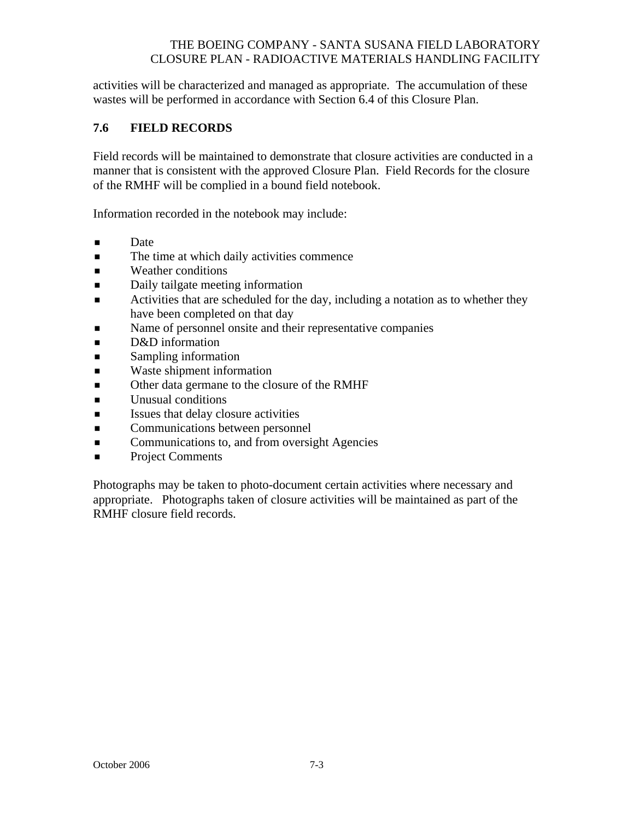activities will be characterized and managed as appropriate. The accumulation of these wastes will be performed in accordance with Section 6.4 of this Closure Plan.

### **7.6 FIELD RECORDS**

Field records will be maintained to demonstrate that closure activities are conducted in a manner that is consistent with the approved Closure Plan. Field Records for the closure of the RMHF will be complied in a bound field notebook.

Information recorded in the notebook may include:

- **Date**
- The time at which daily activities commence
- **Neather conditions**
- Daily tailgate meeting information
- Activities that are scheduled for the day, including a notation as to whether they have been completed on that day
- Name of personnel onsite and their representative companies
- **D**&D information
- **Sampling information**
- **Naste shipment information**
- Other data germane to the closure of the RMHF
- **Unusual conditions**
- **ISSUES** Issues that delay closure activities
- **Exercise Communications between personnel**
- **Communications to, and from oversight Agencies**
- **Project Comments**

Photographs may be taken to photo-document certain activities where necessary and appropriate. Photographs taken of closure activities will be maintained as part of the RMHF closure field records.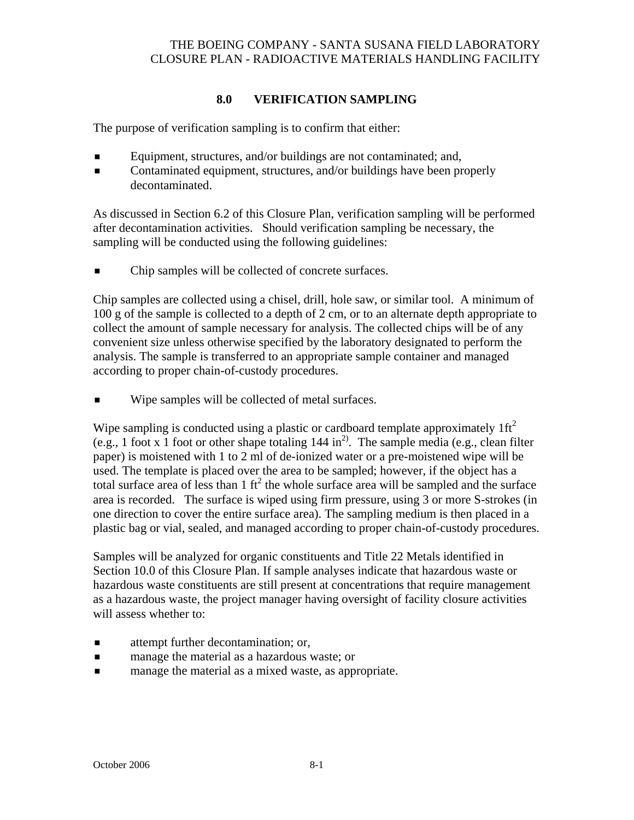# **8.0 VERIFICATION SAMPLING**

The purpose of verification sampling is to confirm that either:

- Equipment, structures, and/or buildings are not contaminated; and,
- Contaminated equipment, structures, and/or buildings have been properly decontaminated.

As discussed in Section 6.2 of this Closure Plan, verification sampling will be performed after decontamination activities. Should verification sampling be necessary, the sampling will be conducted using the following guidelines:

 $\blacksquare$  Chip samples will be collected of concrete surfaces.

Chip samples are collected using a chisel, drill, hole saw, or similar tool. A minimum of 100 g of the sample is collected to a depth of 2 cm, or to an alternate depth appropriate to collect the amount of sample necessary for analysis. The collected chips will be of any convenient size unless otherwise specified by the laboratory designated to perform the analysis. The sample is transferred to an appropriate sample container and managed according to proper chain-of-custody procedures.

**Wipe samples will be collected of metal surfaces.** 

Wipe sampling is conducted using a plastic or cardboard template approximately  $1 \text{ ft}^2$ (e.g., 1 foot x 1 foot or other shape totaling  $144$  in<sup>2)</sup>. The sample media (e.g., clean filter paper) is moistened with 1 to 2 ml of de-ionized water or a pre-moistened wipe will be used. The template is placed over the area to be sampled; however, if the object has a total surface area of less than  $1 \text{ ft}^2$  the whole surface area will be sampled and the surface area is recorded. The surface is wiped using firm pressure, using 3 or more S-strokes (in one direction to cover the entire surface area). The sampling medium is then placed in a plastic bag or vial, sealed, and managed according to proper chain-of-custody procedures.

Samples will be analyzed for organic constituents and Title 22 Metals identified in Section 10.0 of this Closure Plan. If sample analyses indicate that hazardous waste or hazardous waste constituents are still present at concentrations that require management as a hazardous waste, the project manager having oversight of facility closure activities will assess whether to:

- attempt further decontamination; or,
- **Example 1** manage the material as a hazardous waste; or
- **Example 1** manage the material as a mixed waste, as appropriate.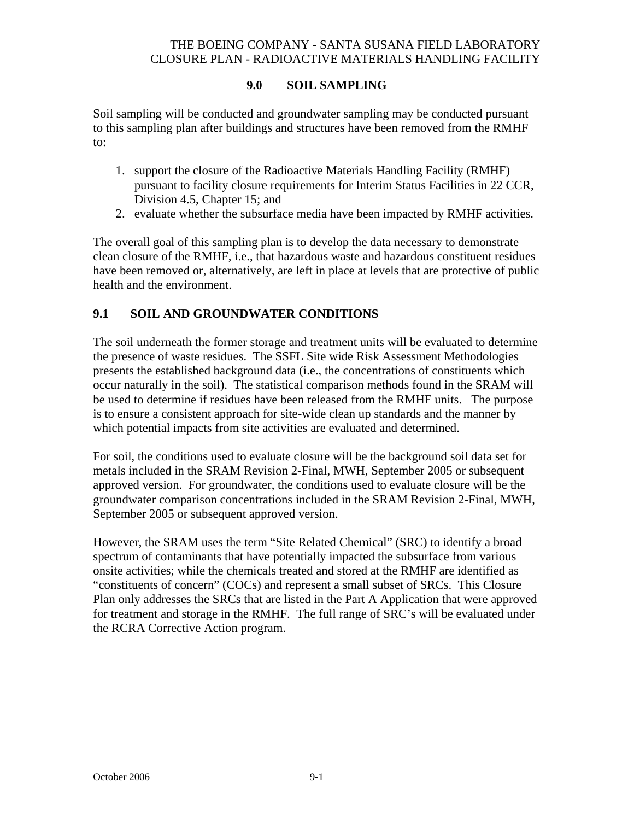### **9.0 SOIL SAMPLING**

Soil sampling will be conducted and groundwater sampling may be conducted pursuant to this sampling plan after buildings and structures have been removed from the RMHF to:

- 1. support the closure of the Radioactive Materials Handling Facility (RMHF) pursuant to facility closure requirements for Interim Status Facilities in 22 CCR, Division 4.5, Chapter 15; and
- 2. evaluate whether the subsurface media have been impacted by RMHF activities.

The overall goal of this sampling plan is to develop the data necessary to demonstrate clean closure of the RMHF, i.e., that hazardous waste and hazardous constituent residues have been removed or, alternatively, are left in place at levels that are protective of public health and the environment.

### **9.1 SOIL AND GROUNDWATER CONDITIONS**

The soil underneath the former storage and treatment units will be evaluated to determine the presence of waste residues. The SSFL Site wide Risk Assessment Methodologies presents the established background data (i.e., the concentrations of constituents which occur naturally in the soil). The statistical comparison methods found in the SRAM will be used to determine if residues have been released from the RMHF units. The purpose is to ensure a consistent approach for site-wide clean up standards and the manner by which potential impacts from site activities are evaluated and determined.

For soil, the conditions used to evaluate closure will be the background soil data set for metals included in the SRAM Revision 2-Final, MWH, September 2005 or subsequent approved version. For groundwater, the conditions used to evaluate closure will be the groundwater comparison concentrations included in the SRAM Revision 2-Final, MWH, September 2005 or subsequent approved version.

However, the SRAM uses the term "Site Related Chemical" (SRC) to identify a broad spectrum of contaminants that have potentially impacted the subsurface from various onsite activities; while the chemicals treated and stored at the RMHF are identified as "constituents of concern" (COCs) and represent a small subset of SRCs. This Closure Plan only addresses the SRCs that are listed in the Part A Application that were approved for treatment and storage in the RMHF. The full range of SRC's will be evaluated under the RCRA Corrective Action program.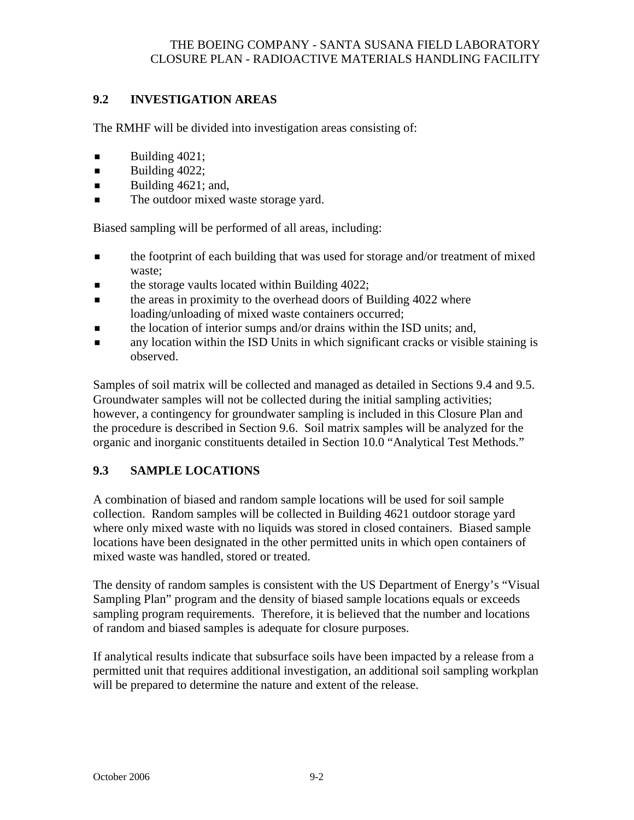## **9.2 INVESTIGATION AREAS**

The RMHF will be divided into investigation areas consisting of:

- $\blacksquare$  Building 4021;
- $\blacksquare$  Building 4022;
- Building  $4621$ ; and,
- The outdoor mixed waste storage yard.

Biased sampling will be performed of all areas, including:

- the footprint of each building that was used for storage and/or treatment of mixed waste;
- $\blacksquare$  the storage vaults located within Building 4022;
- $\blacksquare$  the areas in proximity to the overhead doors of Building 4022 where loading/unloading of mixed waste containers occurred;
- the location of interior sumps and/or drains within the ISD units; and,
- any location within the ISD Units in which significant cracks or visible staining is observed.

Samples of soil matrix will be collected and managed as detailed in Sections 9.4 and 9.5. Groundwater samples will not be collected during the initial sampling activities; however, a contingency for groundwater sampling is included in this Closure Plan and the procedure is described in Section 9.6. Soil matrix samples will be analyzed for the organic and inorganic constituents detailed in Section 10.0 "Analytical Test Methods."

# **9.3 SAMPLE LOCATIONS**

A combination of biased and random sample locations will be used for soil sample collection. Random samples will be collected in Building 4621 outdoor storage yard where only mixed waste with no liquids was stored in closed containers. Biased sample locations have been designated in the other permitted units in which open containers of mixed waste was handled, stored or treated.

The density of random samples is consistent with the US Department of Energy's "Visual Sampling Plan" program and the density of biased sample locations equals or exceeds sampling program requirements. Therefore, it is believed that the number and locations of random and biased samples is adequate for closure purposes.

If analytical results indicate that subsurface soils have been impacted by a release from a permitted unit that requires additional investigation, an additional soil sampling workplan will be prepared to determine the nature and extent of the release.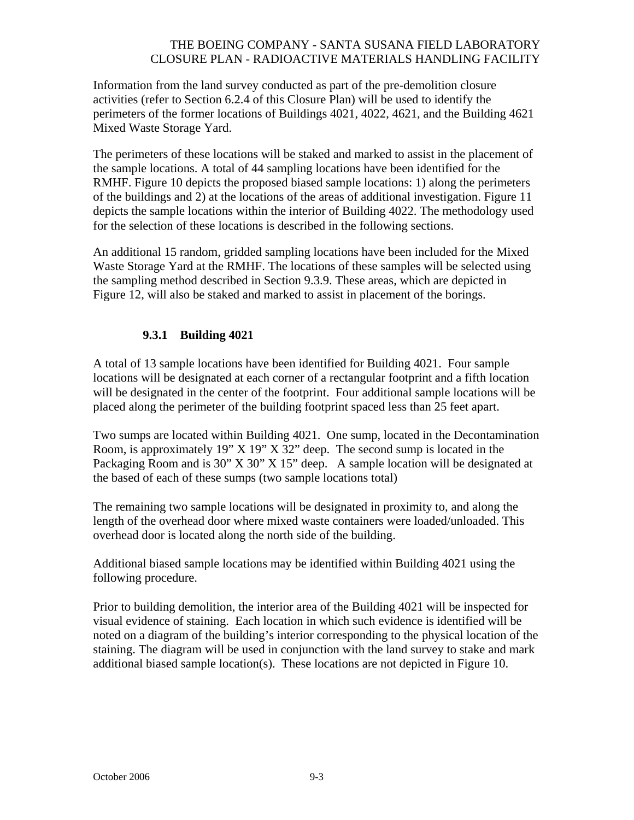Information from the land survey conducted as part of the pre-demolition closure activities (refer to Section 6.2.4 of this Closure Plan) will be used to identify the perimeters of the former locations of Buildings 4021, 4022, 4621, and the Building 4621 Mixed Waste Storage Yard.

The perimeters of these locations will be staked and marked to assist in the placement of the sample locations. A total of 44 sampling locations have been identified for the RMHF. Figure 10 depicts the proposed biased sample locations: 1) along the perimeters of the buildings and 2) at the locations of the areas of additional investigation. Figure 11 depicts the sample locations within the interior of Building 4022. The methodology used for the selection of these locations is described in the following sections.

An additional 15 random, gridded sampling locations have been included for the Mixed Waste Storage Yard at the RMHF. The locations of these samples will be selected using the sampling method described in Section 9.3.9. These areas, which are depicted in Figure 12, will also be staked and marked to assist in placement of the borings.

### **9.3.1 Building 4021**

A total of 13 sample locations have been identified for Building 4021. Four sample locations will be designated at each corner of a rectangular footprint and a fifth location will be designated in the center of the footprint. Four additional sample locations will be placed along the perimeter of the building footprint spaced less than 25 feet apart.

Two sumps are located within Building 4021. One sump, located in the Decontamination Room, is approximately 19" X 19" X 32" deep. The second sump is located in the Packaging Room and is 30" X 30" X 15" deep. A sample location will be designated at the based of each of these sumps (two sample locations total)

The remaining two sample locations will be designated in proximity to, and along the length of the overhead door where mixed waste containers were loaded/unloaded. This overhead door is located along the north side of the building.

Additional biased sample locations may be identified within Building 4021 using the following procedure.

Prior to building demolition, the interior area of the Building 4021 will be inspected for visual evidence of staining. Each location in which such evidence is identified will be noted on a diagram of the building's interior corresponding to the physical location of the staining. The diagram will be used in conjunction with the land survey to stake and mark additional biased sample location(s). These locations are not depicted in Figure 10.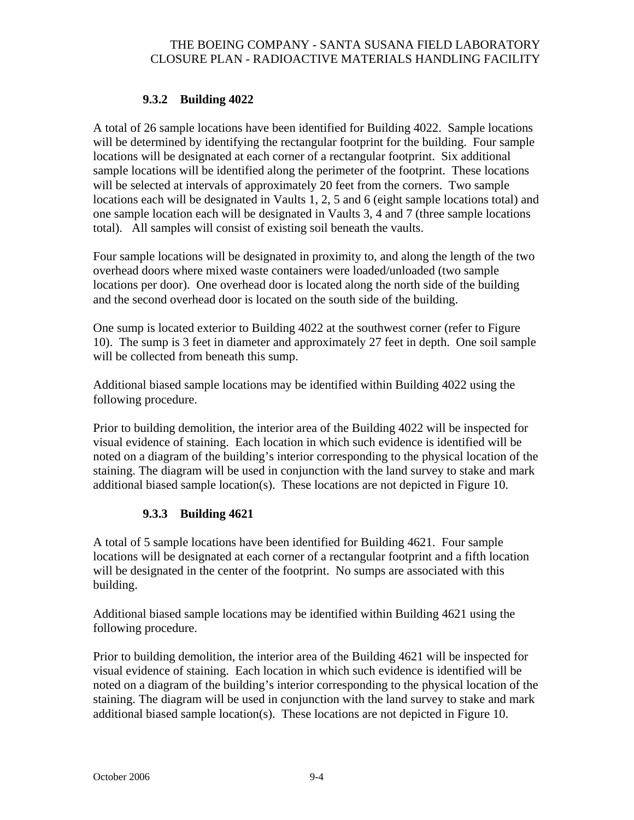### **9.3.2 Building 4022**

A total of 26 sample locations have been identified for Building 4022. Sample locations will be determined by identifying the rectangular footprint for the building. Four sample locations will be designated at each corner of a rectangular footprint. Six additional sample locations will be identified along the perimeter of the footprint. These locations will be selected at intervals of approximately 20 feet from the corners. Two sample locations each will be designated in Vaults 1, 2, 5 and 6 (eight sample locations total) and one sample location each will be designated in Vaults 3, 4 and 7 (three sample locations total). All samples will consist of existing soil beneath the vaults.

Four sample locations will be designated in proximity to, and along the length of the two overhead doors where mixed waste containers were loaded/unloaded (two sample locations per door). One overhead door is located along the north side of the building and the second overhead door is located on the south side of the building.

One sump is located exterior to Building 4022 at the southwest corner (refer to Figure 10). The sump is 3 feet in diameter and approximately 27 feet in depth. One soil sample will be collected from beneath this sump.

Additional biased sample locations may be identified within Building 4022 using the following procedure.

Prior to building demolition, the interior area of the Building 4022 will be inspected for visual evidence of staining. Each location in which such evidence is identified will be noted on a diagram of the building's interior corresponding to the physical location of the staining. The diagram will be used in conjunction with the land survey to stake and mark additional biased sample location(s). These locations are not depicted in Figure 10.

## **9.3.3 Building 4621**

A total of 5 sample locations have been identified for Building 4621. Four sample locations will be designated at each corner of a rectangular footprint and a fifth location will be designated in the center of the footprint. No sumps are associated with this building.

Additional biased sample locations may be identified within Building 4621 using the following procedure.

Prior to building demolition, the interior area of the Building 4621 will be inspected for visual evidence of staining. Each location in which such evidence is identified will be noted on a diagram of the building's interior corresponding to the physical location of the staining. The diagram will be used in conjunction with the land survey to stake and mark additional biased sample location(s). These locations are not depicted in Figure 10.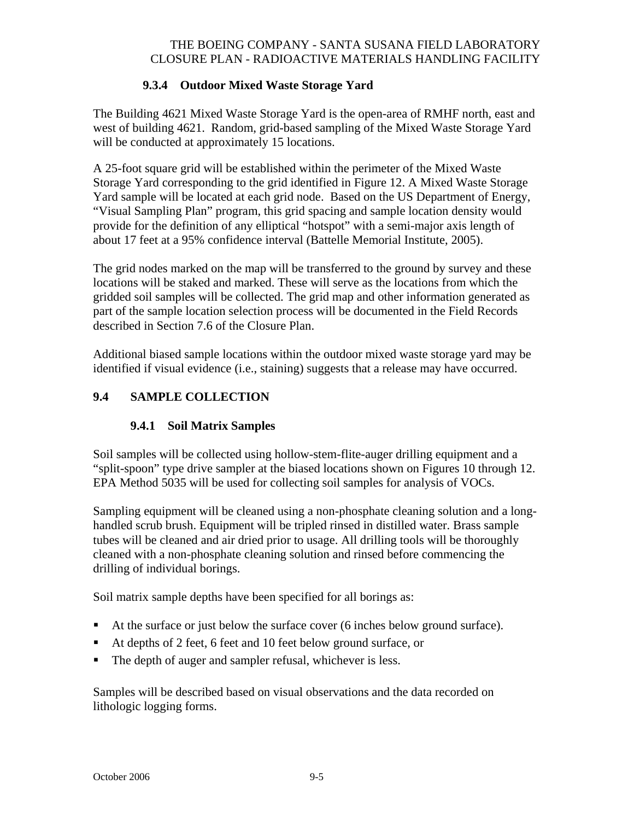### **9.3.4 Outdoor Mixed Waste Storage Yard**

The Building 4621 Mixed Waste Storage Yard is the open-area of RMHF north, east and west of building 4621. Random, grid-based sampling of the Mixed Waste Storage Yard will be conducted at approximately 15 locations.

A 25-foot square grid will be established within the perimeter of the Mixed Waste Storage Yard corresponding to the grid identified in Figure 12. A Mixed Waste Storage Yard sample will be located at each grid node. Based on the US Department of Energy, "Visual Sampling Plan" program, this grid spacing and sample location density would provide for the definition of any elliptical "hotspot" with a semi-major axis length of about 17 feet at a 95% confidence interval (Battelle Memorial Institute, 2005).

The grid nodes marked on the map will be transferred to the ground by survey and these locations will be staked and marked. These will serve as the locations from which the gridded soil samples will be collected. The grid map and other information generated as part of the sample location selection process will be documented in the Field Records described in Section 7.6 of the Closure Plan.

Additional biased sample locations within the outdoor mixed waste storage yard may be identified if visual evidence (i.e., staining) suggests that a release may have occurred.

### **9.4 SAMPLE COLLECTION**

### **9.4.1 Soil Matrix Samples**

Soil samples will be collected using hollow-stem-flite-auger drilling equipment and a "split-spoon" type drive sampler at the biased locations shown on Figures 10 through 12. EPA Method 5035 will be used for collecting soil samples for analysis of VOCs.

Sampling equipment will be cleaned using a non-phosphate cleaning solution and a longhandled scrub brush. Equipment will be tripled rinsed in distilled water. Brass sample tubes will be cleaned and air dried prior to usage. All drilling tools will be thoroughly cleaned with a non-phosphate cleaning solution and rinsed before commencing the drilling of individual borings.

Soil matrix sample depths have been specified for all borings as:

- At the surface or just below the surface cover (6 inches below ground surface).
- At depths of 2 feet, 6 feet and 10 feet below ground surface, or
- The depth of auger and sampler refusal, whichever is less.

Samples will be described based on visual observations and the data recorded on lithologic logging forms.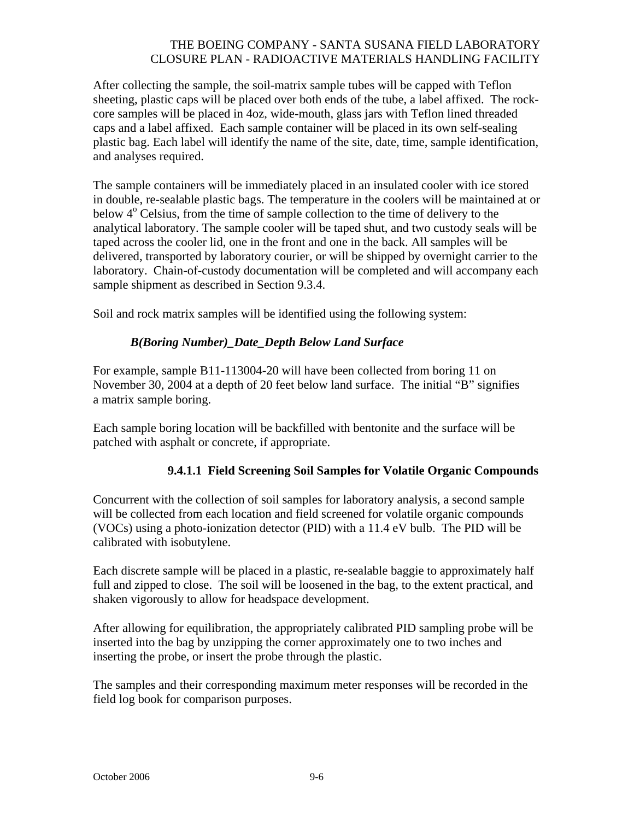After collecting the sample, the soil-matrix sample tubes will be capped with Teflon sheeting, plastic caps will be placed over both ends of the tube, a label affixed. The rockcore samples will be placed in 4oz, wide-mouth, glass jars with Teflon lined threaded caps and a label affixed. Each sample container will be placed in its own self-sealing plastic bag. Each label will identify the name of the site, date, time, sample identification, and analyses required.

The sample containers will be immediately placed in an insulated cooler with ice stored in double, re-sealable plastic bags. The temperature in the coolers will be maintained at or below 4<sup>°</sup> Celsius, from the time of sample collection to the time of delivery to the analytical laboratory. The sample cooler will be taped shut, and two custody seals will be taped across the cooler lid, one in the front and one in the back. All samples will be delivered, transported by laboratory courier, or will be shipped by overnight carrier to the laboratory. Chain-of-custody documentation will be completed and will accompany each sample shipment as described in Section 9.3.4.

Soil and rock matrix samples will be identified using the following system:

### *B(Boring Number)\_Date\_Depth Below Land Surface*

For example, sample B11-113004-20 will have been collected from boring 11 on November 30, 2004 at a depth of 20 feet below land surface. The initial "B" signifies a matrix sample boring.

Each sample boring location will be backfilled with bentonite and the surface will be patched with asphalt or concrete, if appropriate.

### **9.4.1.1 Field Screening Soil Samples for Volatile Organic Compounds**

Concurrent with the collection of soil samples for laboratory analysis, a second sample will be collected from each location and field screened for volatile organic compounds (VOCs) using a photo-ionization detector (PID) with a 11.4 eV bulb. The PID will be calibrated with isobutylene.

Each discrete sample will be placed in a plastic, re-sealable baggie to approximately half full and zipped to close. The soil will be loosened in the bag, to the extent practical, and shaken vigorously to allow for headspace development.

After allowing for equilibration, the appropriately calibrated PID sampling probe will be inserted into the bag by unzipping the corner approximately one to two inches and inserting the probe, or insert the probe through the plastic.

The samples and their corresponding maximum meter responses will be recorded in the field log book for comparison purposes.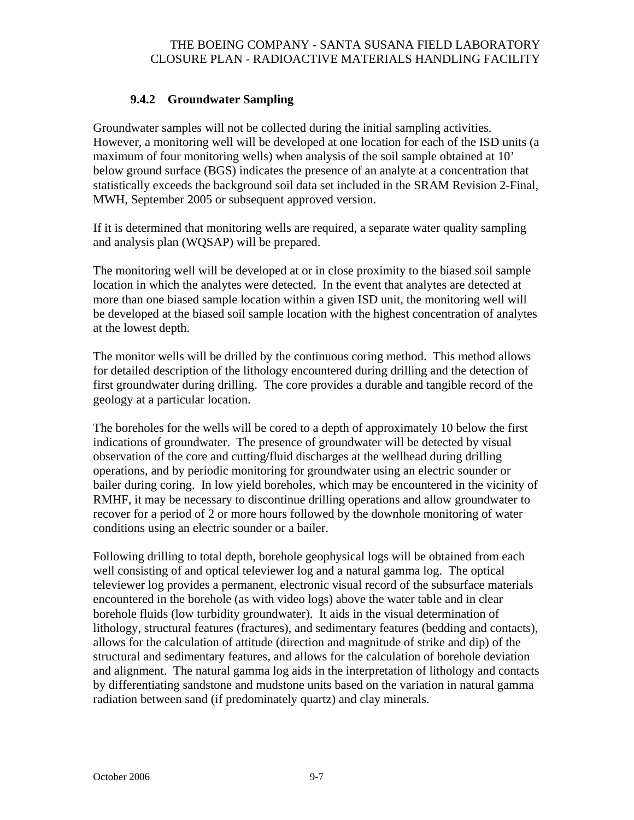### **9.4.2 Groundwater Sampling**

Groundwater samples will not be collected during the initial sampling activities. However, a monitoring well will be developed at one location for each of the ISD units (a maximum of four monitoring wells) when analysis of the soil sample obtained at 10' below ground surface (BGS) indicates the presence of an analyte at a concentration that statistically exceeds the background soil data set included in the SRAM Revision 2-Final, MWH, September 2005 or subsequent approved version.

If it is determined that monitoring wells are required, a separate water quality sampling and analysis plan (WQSAP) will be prepared.

The monitoring well will be developed at or in close proximity to the biased soil sample location in which the analytes were detected. In the event that analytes are detected at more than one biased sample location within a given ISD unit, the monitoring well will be developed at the biased soil sample location with the highest concentration of analytes at the lowest depth.

The monitor wells will be drilled by the continuous coring method. This method allows for detailed description of the lithology encountered during drilling and the detection of first groundwater during drilling. The core provides a durable and tangible record of the geology at a particular location.

The boreholes for the wells will be cored to a depth of approximately 10 below the first indications of groundwater. The presence of groundwater will be detected by visual observation of the core and cutting/fluid discharges at the wellhead during drilling operations, and by periodic monitoring for groundwater using an electric sounder or bailer during coring. In low yield boreholes, which may be encountered in the vicinity of RMHF, it may be necessary to discontinue drilling operations and allow groundwater to recover for a period of 2 or more hours followed by the downhole monitoring of water conditions using an electric sounder or a bailer.

Following drilling to total depth, borehole geophysical logs will be obtained from each well consisting of and optical televiewer log and a natural gamma log. The optical televiewer log provides a permanent, electronic visual record of the subsurface materials encountered in the borehole (as with video logs) above the water table and in clear borehole fluids (low turbidity groundwater). It aids in the visual determination of lithology, structural features (fractures), and sedimentary features (bedding and contacts), allows for the calculation of attitude (direction and magnitude of strike and dip) of the structural and sedimentary features, and allows for the calculation of borehole deviation and alignment. The natural gamma log aids in the interpretation of lithology and contacts by differentiating sandstone and mudstone units based on the variation in natural gamma radiation between sand (if predominately quartz) and clay minerals.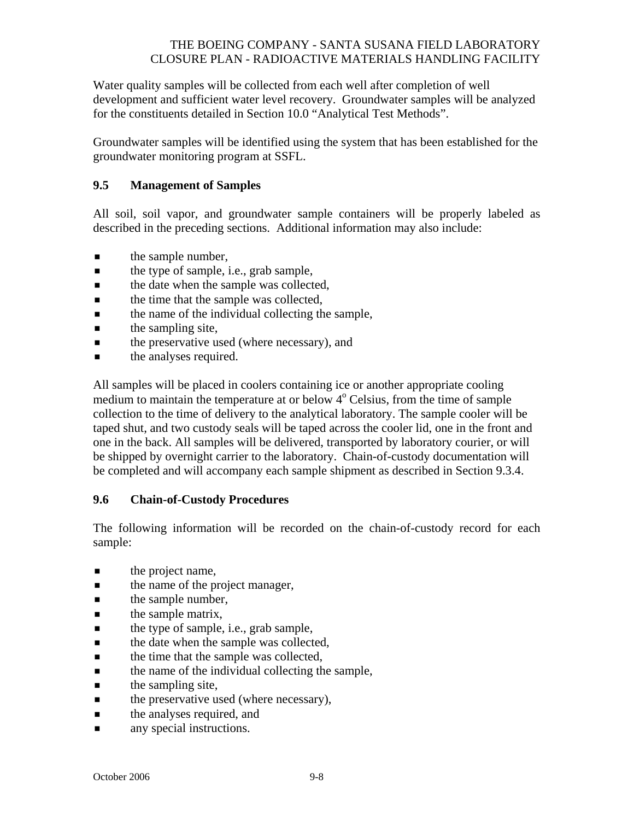Water quality samples will be collected from each well after completion of well development and sufficient water level recovery. Groundwater samples will be analyzed for the constituents detailed in Section 10.0 "Analytical Test Methods".

Groundwater samples will be identified using the system that has been established for the groundwater monitoring program at SSFL.

### **9.5 Management of Samples**

All soil, soil vapor, and groundwater sample containers will be properly labeled as described in the preceding sections. Additional information may also include:

- $\blacksquare$  the sample number,
- **the type of sample, i.e., grab sample,**
- **the date when the sample was collected,**
- $\blacksquare$  the time that the sample was collected,
- $\blacksquare$  the name of the individual collecting the sample,
- $\blacksquare$  the sampling site,
- $\blacksquare$  the preservative used (where necessary), and
- $\blacksquare$  the analyses required.

All samples will be placed in coolers containing ice or another appropriate cooling medium to maintain the temperature at or below 4<sup>°</sup> Celsius, from the time of sample collection to the time of delivery to the analytical laboratory. The sample cooler will be taped shut, and two custody seals will be taped across the cooler lid, one in the front and one in the back. All samples will be delivered, transported by laboratory courier, or will be shipped by overnight carrier to the laboratory. Chain-of-custody documentation will be completed and will accompany each sample shipment as described in Section 9.3.4.

#### **9.6 Chain-of-Custody Procedures**

The following information will be recorded on the chain-of-custody record for each sample:

- $\blacksquare$  the project name,
- **the name of the project manager,**
- $\blacksquare$  the sample number,
- $\blacksquare$  the sample matrix,
- $\blacksquare$  the type of sample, i.e., grab sample,
- **the date when the sample was collected,**
- $\blacksquare$  the time that the sample was collected,
- $\blacksquare$  the name of the individual collecting the sample,
- $\blacksquare$  the sampling site,
- $\blacksquare$  the preservative used (where necessary),
- $\blacksquare$  the analyses required, and
- **a** any special instructions.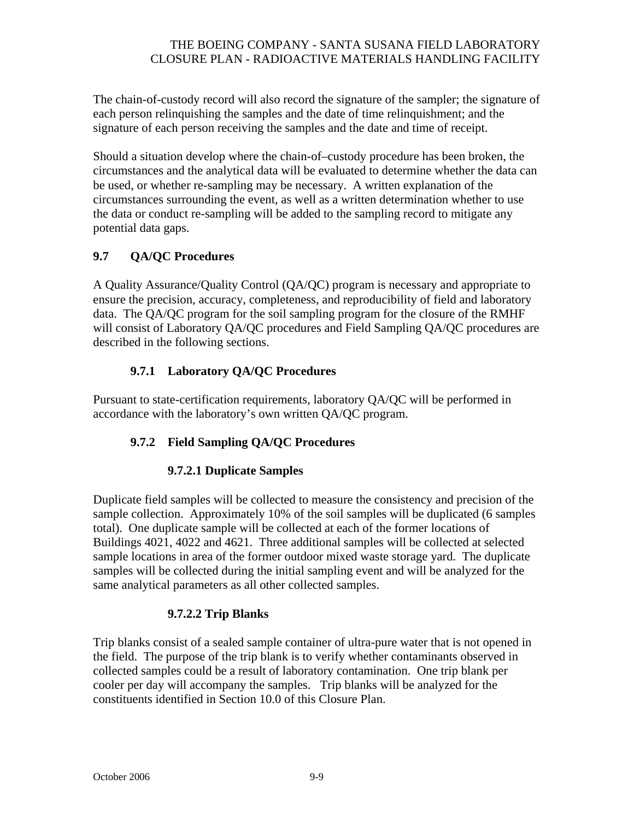The chain-of-custody record will also record the signature of the sampler; the signature of each person relinquishing the samples and the date of time relinquishment; and the signature of each person receiving the samples and the date and time of receipt.

Should a situation develop where the chain-of–custody procedure has been broken, the circumstances and the analytical data will be evaluated to determine whether the data can be used, or whether re-sampling may be necessary. A written explanation of the circumstances surrounding the event, as well as a written determination whether to use the data or conduct re-sampling will be added to the sampling record to mitigate any potential data gaps.

# **9.7 QA/QC Procedures**

A Quality Assurance/Quality Control (QA/QC) program is necessary and appropriate to ensure the precision, accuracy, completeness, and reproducibility of field and laboratory data. The QA/QC program for the soil sampling program for the closure of the RMHF will consist of Laboratory QA/QC procedures and Field Sampling QA/QC procedures are described in the following sections.

## **9.7.1 Laboratory QA/QC Procedures**

Pursuant to state-certification requirements, laboratory QA/QC will be performed in accordance with the laboratory's own written QA/QC program.

## **9.7.2 Field Sampling QA/QC Procedures**

# **9.7.2.1 Duplicate Samples**

Duplicate field samples will be collected to measure the consistency and precision of the sample collection. Approximately 10% of the soil samples will be duplicated (6 samples total). One duplicate sample will be collected at each of the former locations of Buildings 4021, 4022 and 4621. Three additional samples will be collected at selected sample locations in area of the former outdoor mixed waste storage yard. The duplicate samples will be collected during the initial sampling event and will be analyzed for the same analytical parameters as all other collected samples.

## **9.7.2.2 Trip Blanks**

Trip blanks consist of a sealed sample container of ultra-pure water that is not opened in the field. The purpose of the trip blank is to verify whether contaminants observed in collected samples could be a result of laboratory contamination. One trip blank per cooler per day will accompany the samples. Trip blanks will be analyzed for the constituents identified in Section 10.0 of this Closure Plan.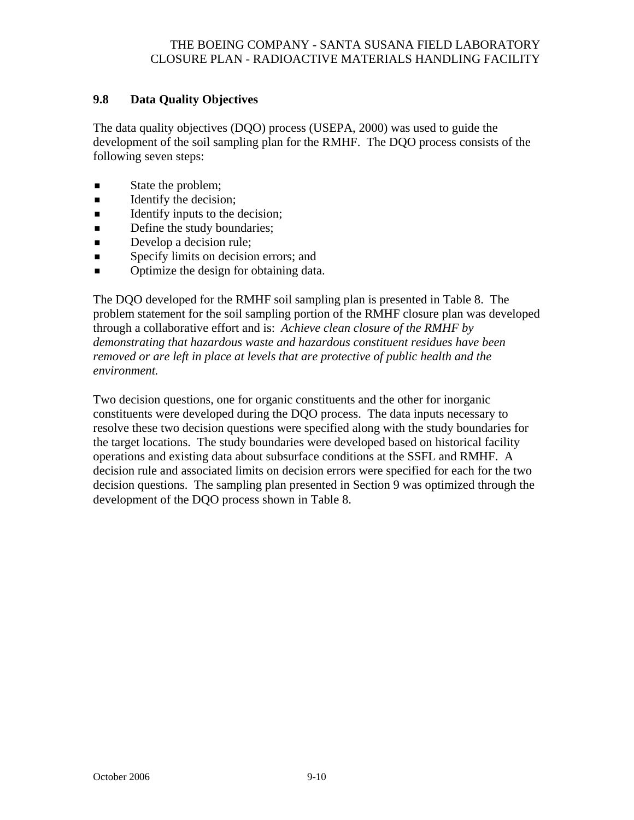### **9.8 Data Quality Objectives**

The data quality objectives (DQO) process (USEPA, 2000) was used to guide the development of the soil sampling plan for the RMHF. The DQO process consists of the following seven steps:

- State the problem;
- $\blacksquare$  Identify the decision;
- $\blacksquare$  Identify inputs to the decision;
- Define the study boundaries;
- Develop a decision rule;
- **Specify limits on decision errors; and**
- Optimize the design for obtaining data.

The DQO developed for the RMHF soil sampling plan is presented in Table 8. The problem statement for the soil sampling portion of the RMHF closure plan was developed through a collaborative effort and is: *Achieve clean closure of the RMHF by demonstrating that hazardous waste and hazardous constituent residues have been removed or are left in place at levels that are protective of public health and the environment.* 

Two decision questions, one for organic constituents and the other for inorganic constituents were developed during the DQO process. The data inputs necessary to resolve these two decision questions were specified along with the study boundaries for the target locations. The study boundaries were developed based on historical facility operations and existing data about subsurface conditions at the SSFL and RMHF. A decision rule and associated limits on decision errors were specified for each for the two decision questions. The sampling plan presented in Section 9 was optimized through the development of the DQO process shown in Table 8.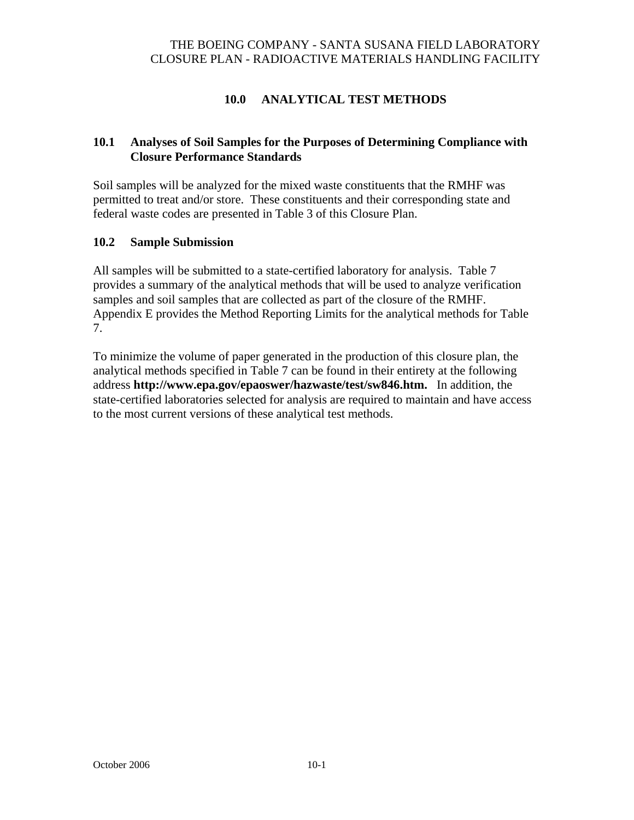## **10.0 ANALYTICAL TEST METHODS**

#### **10.1 Analyses of Soil Samples for the Purposes of Determining Compliance with Closure Performance Standards**

Soil samples will be analyzed for the mixed waste constituents that the RMHF was permitted to treat and/or store. These constituents and their corresponding state and federal waste codes are presented in Table 3 of this Closure Plan.

#### **10.2 Sample Submission**

All samples will be submitted to a state-certified laboratory for analysis. Table 7 provides a summary of the analytical methods that will be used to analyze verification samples and soil samples that are collected as part of the closure of the RMHF. Appendix E provides the Method Reporting Limits for the analytical methods for Table 7.

To minimize the volume of paper generated in the production of this closure plan, the analytical methods specified in Table 7 can be found in their entirety at the following address **http://www.epa.gov/epaoswer/hazwaste/test/sw846.htm.** In addition, the state-certified laboratories selected for analysis are required to maintain and have access to the most current versions of these analytical test methods.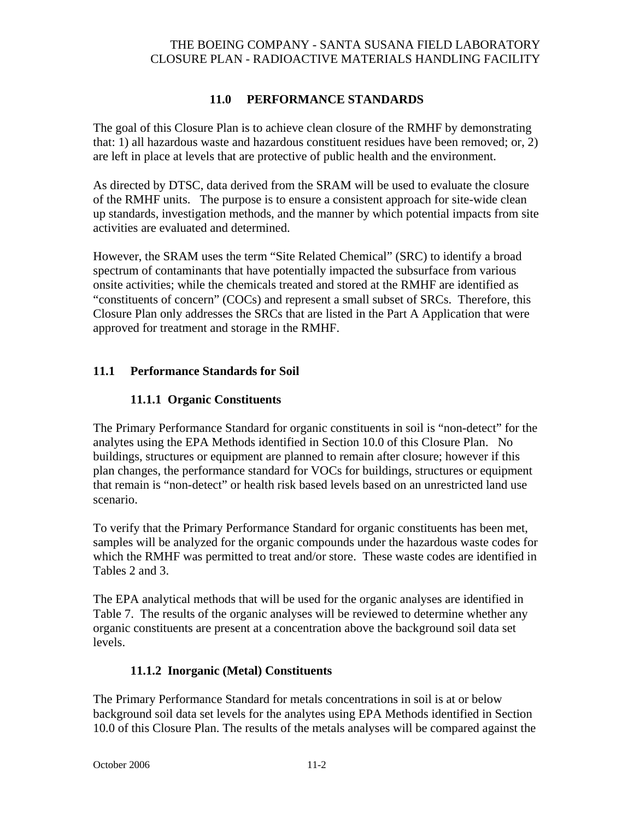## **11.0 PERFORMANCE STANDARDS**

The goal of this Closure Plan is to achieve clean closure of the RMHF by demonstrating that: 1) all hazardous waste and hazardous constituent residues have been removed; or, 2) are left in place at levels that are protective of public health and the environment.

As directed by DTSC, data derived from the SRAM will be used to evaluate the closure of the RMHF units. The purpose is to ensure a consistent approach for site-wide clean up standards, investigation methods, and the manner by which potential impacts from site activities are evaluated and determined.

However, the SRAM uses the term "Site Related Chemical" (SRC) to identify a broad spectrum of contaminants that have potentially impacted the subsurface from various onsite activities; while the chemicals treated and stored at the RMHF are identified as "constituents of concern" (COCs) and represent a small subset of SRCs. Therefore, this Closure Plan only addresses the SRCs that are listed in the Part A Application that were approved for treatment and storage in the RMHF.

### **11.1 Performance Standards for Soil**

### **11.1.1 Organic Constituents**

The Primary Performance Standard for organic constituents in soil is "non-detect" for the analytes using the EPA Methods identified in Section 10.0 of this Closure Plan. No buildings, structures or equipment are planned to remain after closure; however if this plan changes, the performance standard for VOCs for buildings, structures or equipment that remain is "non-detect" or health risk based levels based on an unrestricted land use scenario.

To verify that the Primary Performance Standard for organic constituents has been met, samples will be analyzed for the organic compounds under the hazardous waste codes for which the RMHF was permitted to treat and/or store. These waste codes are identified in Tables 2 and 3.

The EPA analytical methods that will be used for the organic analyses are identified in Table 7. The results of the organic analyses will be reviewed to determine whether any organic constituents are present at a concentration above the background soil data set levels.

### **11.1.2 Inorganic (Metal) Constituents**

The Primary Performance Standard for metals concentrations in soil is at or below background soil data set levels for the analytes using EPA Methods identified in Section 10.0 of this Closure Plan. The results of the metals analyses will be compared against the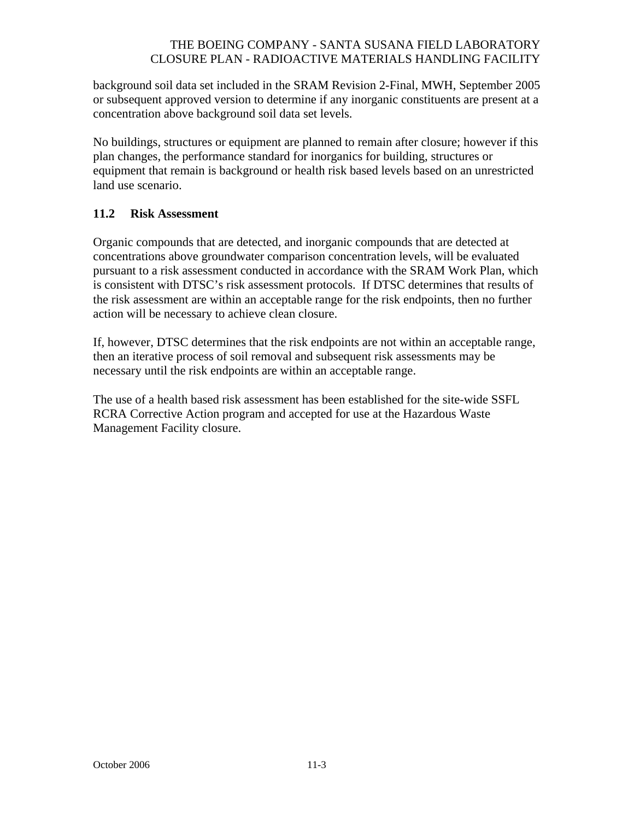background soil data set included in the SRAM Revision 2-Final, MWH, September 2005 or subsequent approved version to determine if any inorganic constituents are present at a concentration above background soil data set levels.

No buildings, structures or equipment are planned to remain after closure; however if this plan changes, the performance standard for inorganics for building, structures or equipment that remain is background or health risk based levels based on an unrestricted land use scenario.

### **11.2 Risk Assessment**

Organic compounds that are detected, and inorganic compounds that are detected at concentrations above groundwater comparison concentration levels, will be evaluated pursuant to a risk assessment conducted in accordance with the SRAM Work Plan, which is consistent with DTSC's risk assessment protocols. If DTSC determines that results of the risk assessment are within an acceptable range for the risk endpoints, then no further action will be necessary to achieve clean closure.

If, however, DTSC determines that the risk endpoints are not within an acceptable range, then an iterative process of soil removal and subsequent risk assessments may be necessary until the risk endpoints are within an acceptable range.

The use of a health based risk assessment has been established for the site-wide SSFL RCRA Corrective Action program and accepted for use at the Hazardous Waste Management Facility closure.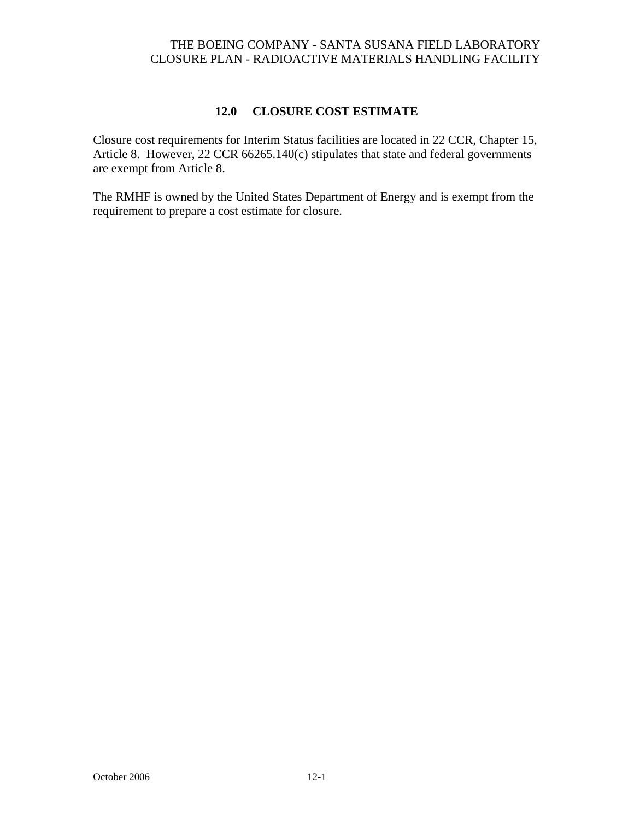### **12.0 CLOSURE COST ESTIMATE**

Closure cost requirements for Interim Status facilities are located in 22 CCR, Chapter 15, Article 8. However, 22 CCR 66265.140(c) stipulates that state and federal governments are exempt from Article 8.

The RMHF is owned by the United States Department of Energy and is exempt from the requirement to prepare a cost estimate for closure.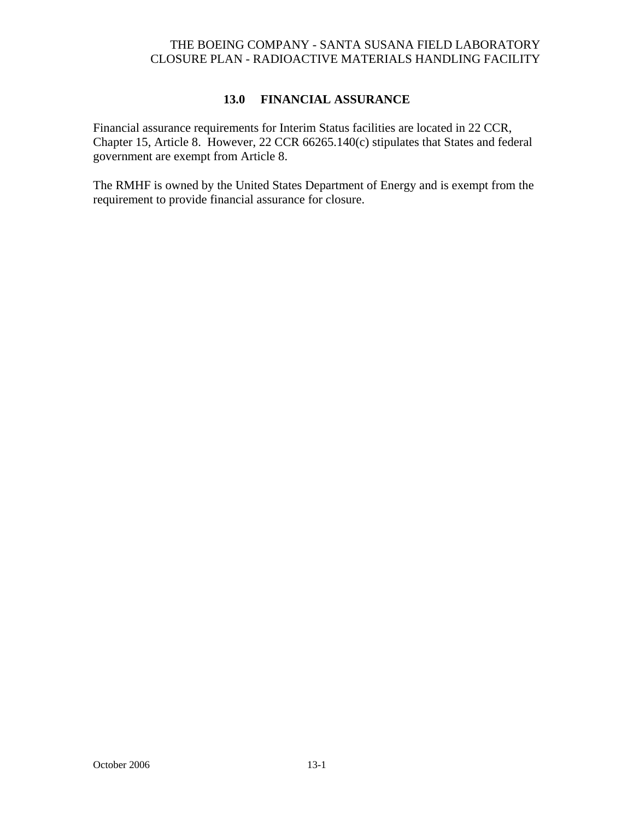### **13.0 FINANCIAL ASSURANCE**

Financial assurance requirements for Interim Status facilities are located in 22 CCR, Chapter 15, Article 8. However, 22 CCR 66265.140(c) stipulates that States and federal government are exempt from Article 8.

The RMHF is owned by the United States Department of Energy and is exempt from the requirement to provide financial assurance for closure.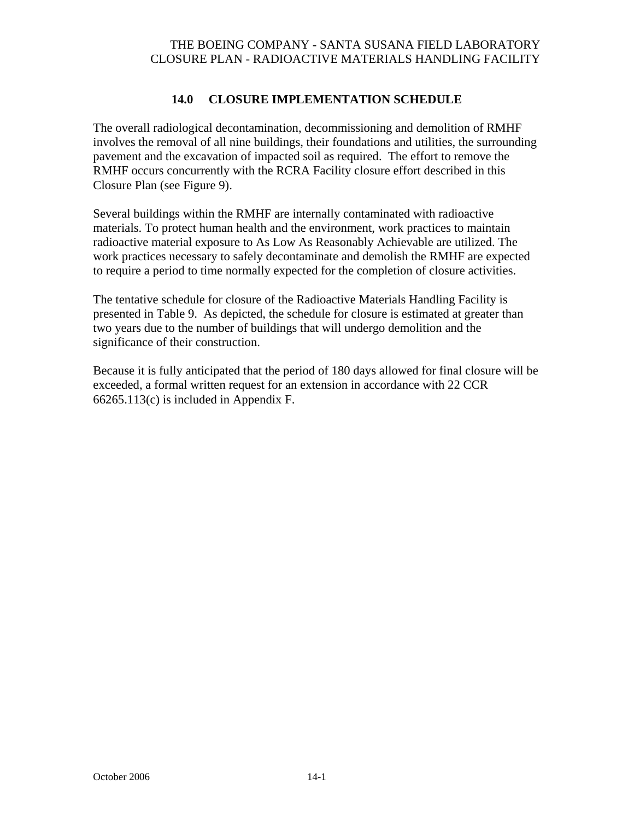### **14.0 CLOSURE IMPLEMENTATION SCHEDULE**

The overall radiological decontamination, decommissioning and demolition of RMHF involves the removal of all nine buildings, their foundations and utilities, the surrounding pavement and the excavation of impacted soil as required. The effort to remove the RMHF occurs concurrently with the RCRA Facility closure effort described in this Closure Plan (see Figure 9).

Several buildings within the RMHF are internally contaminated with radioactive materials. To protect human health and the environment, work practices to maintain radioactive material exposure to As Low As Reasonably Achievable are utilized. The work practices necessary to safely decontaminate and demolish the RMHF are expected to require a period to time normally expected for the completion of closure activities.

The tentative schedule for closure of the Radioactive Materials Handling Facility is presented in Table 9. As depicted, the schedule for closure is estimated at greater than two years due to the number of buildings that will undergo demolition and the significance of their construction.

Because it is fully anticipated that the period of 180 days allowed for final closure will be exceeded, a formal written request for an extension in accordance with 22 CCR 66265.113(c) is included in Appendix F.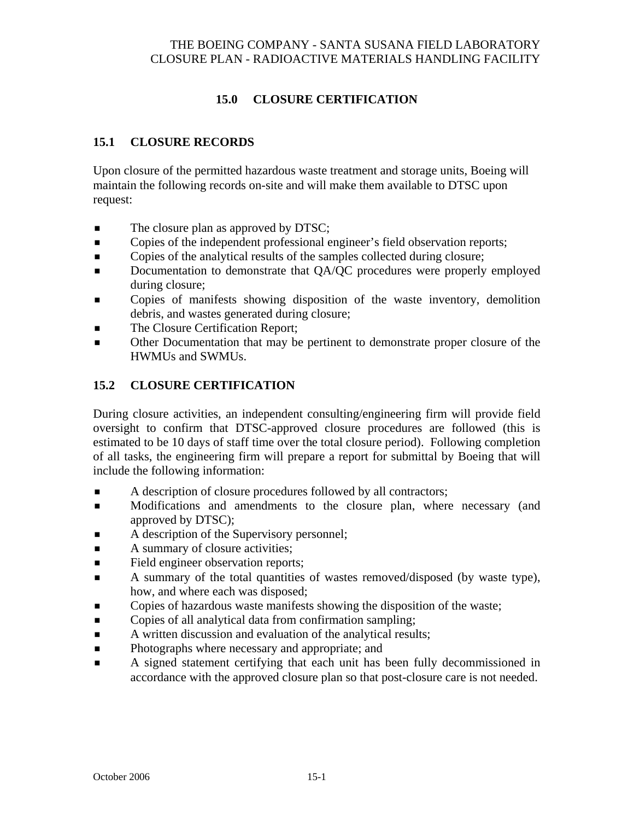# **15.0 CLOSURE CERTIFICATION**

## **15.1 CLOSURE RECORDS**

Upon closure of the permitted hazardous waste treatment and storage units, Boeing will maintain the following records on-site and will make them available to DTSC upon request:

- The closure plan as approved by DTSC;
- Copies of the independent professional engineer's field observation reports;
- Copies of the analytical results of the samples collected during closure;
- Documentation to demonstrate that QA/QC procedures were properly employed during closure;
- Copies of manifests showing disposition of the waste inventory, demolition debris, and wastes generated during closure;
- The Closure Certification Report;
- Other Documentation that may be pertinent to demonstrate proper closure of the HWMUs and SWMUs.

## **15.2 CLOSURE CERTIFICATION**

During closure activities, an independent consulting/engineering firm will provide field oversight to confirm that DTSC-approved closure procedures are followed (this is estimated to be 10 days of staff time over the total closure period). Following completion of all tasks, the engineering firm will prepare a report for submittal by Boeing that will include the following information:

- A description of closure procedures followed by all contractors;
- **Modifications and amendments to the closure plan, where necessary (and** approved by DTSC);
- A description of the Supervisory personnel;
- A summary of closure activities;
- Field engineer observation reports;
- A summary of the total quantities of wastes removed/disposed (by waste type), how, and where each was disposed;
- Copies of hazardous waste manifests showing the disposition of the waste;
- **Example 5** Copies of all analytical data from confirmation sampling;
- A written discussion and evaluation of the analytical results;
- **Photographs where necessary and appropriate; and**
- A signed statement certifying that each unit has been fully decommissioned in accordance with the approved closure plan so that post-closure care is not needed.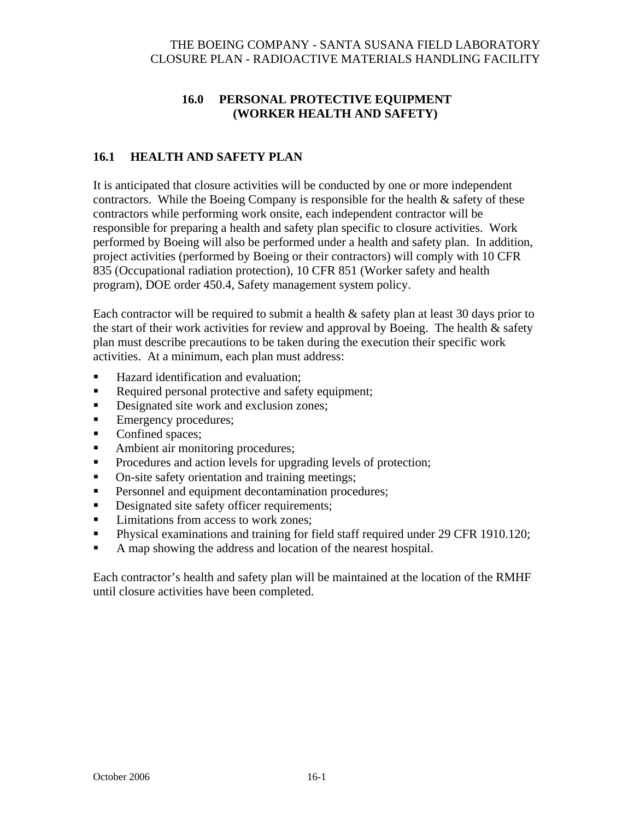## **16.0 PERSONAL PROTECTIVE EQUIPMENT (WORKER HEALTH AND SAFETY)**

## **16.1 HEALTH AND SAFETY PLAN**

It is anticipated that closure activities will be conducted by one or more independent contractors. While the Boeing Company is responsible for the health  $\&$  safety of these contractors while performing work onsite, each independent contractor will be responsible for preparing a health and safety plan specific to closure activities. Work performed by Boeing will also be performed under a health and safety plan. In addition, project activities (performed by Boeing or their contractors) will comply with 10 CFR 835 (Occupational radiation protection), 10 CFR 851 (Worker safety and health program), DOE order 450.4, Safety management system policy.

Each contractor will be required to submit a health  $\&$  safety plan at least 30 days prior to the start of their work activities for review and approval by Boeing. The health  $\&$  safety plan must describe precautions to be taken during the execution their specific work activities. At a minimum, each plan must address:

- Hazard identification and evaluation:
- Required personal protective and safety equipment;
- Designated site work and exclusion zones;
- Emergency procedures;
- Confined spaces;
- Ambient air monitoring procedures;
- Procedures and action levels for upgrading levels of protection;
- On-site safety orientation and training meetings;
- **Personnel and equipment decontamination procedures;**
- Designated site safety officer requirements;
- Limitations from access to work zones:
- **Physical examinations and training for field staff required under 29 CFR 1910.120;**
- A map showing the address and location of the nearest hospital.

Each contractor's health and safety plan will be maintained at the location of the RMHF until closure activities have been completed.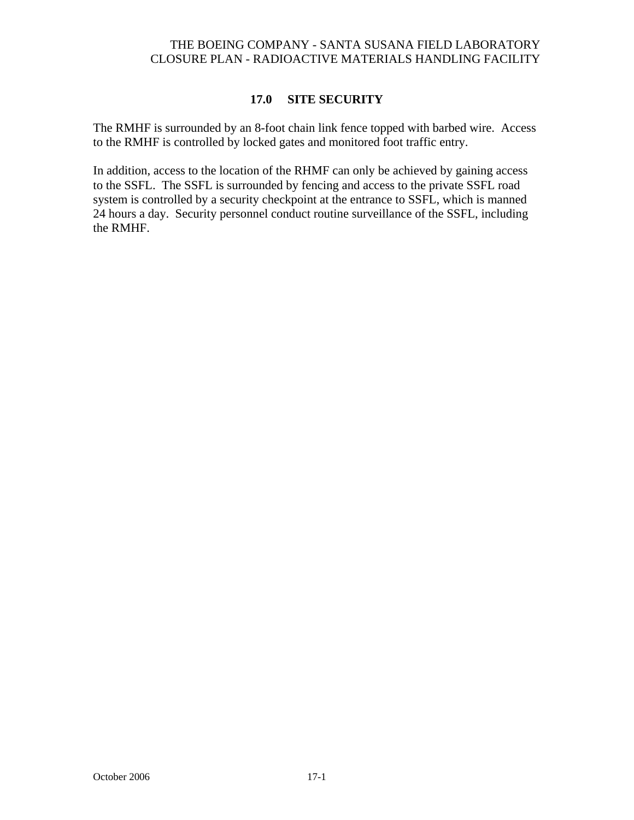### **17.0 SITE SECURITY**

The RMHF is surrounded by an 8-foot chain link fence topped with barbed wire. Access to the RMHF is controlled by locked gates and monitored foot traffic entry.

In addition, access to the location of the RHMF can only be achieved by gaining access to the SSFL. The SSFL is surrounded by fencing and access to the private SSFL road system is controlled by a security checkpoint at the entrance to SSFL, which is manned 24 hours a day. Security personnel conduct routine surveillance of the SSFL, including the RMHF.